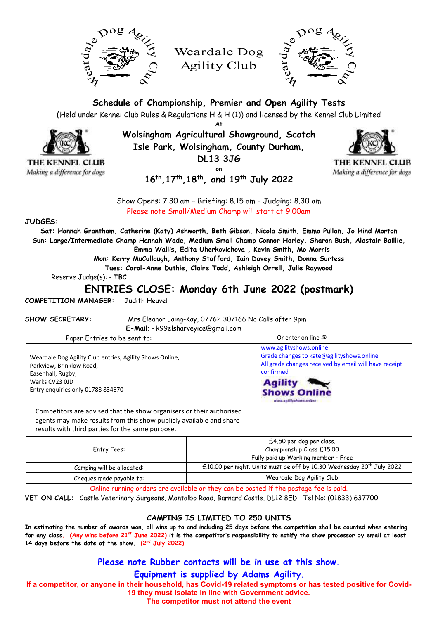

Weardale Dog Agility Club



**Schedule of Championship, Premier and Open Agility Tests**

(Held under Kennel Club Rules & Regulations H & H (1)) and licensed by the Kennel Club Limited **At**

**Wolsingham Agricultural Showground, Scotch Isle Park, Wolsingham, County Durham,** 

**DL13 3JG**

**on**



THE KENNEL CLUB Making a difference for dogs

**16th ,17th ,18th, and 19th July 2022**

Show Opens: 7.30 am – Briefing: 8.15 am – Judging: 8.30 am Please note Small/Medium Champ will start at 9.00am

### **JUDGES:**

THE KENNEL CLUB

Making a difference for dogs

**Sat: Hannah Grantham, Catherine (Katy) Ashworth, Beth Gibson, Nicola Smith, Emma Pullan, Jo Hind Morton Sun: Large/Intermediate Champ Hannah Wade, Medium Small Champ Connor Harley, Sharon Bush, Alastair Baillie, Emma Wallis, Edita Uherkovichova , Kevin Smith, Mo Morris**

**Mon: Kerry MuCullough, Anthony Stafford, Iain Davey Smith, Donna Surtess**

**Tues: Carol-Anne Duthie, Claire Todd, Ashleigh Orrell, Julie Raywood**

Reserve Judge(s): - **TBC**

# **ENTRIES CLOSE: Monday 6th June 2022 (postmark)**

**COMPETITION MANAGER:** Judith Heuvel

**SHOW SECRETARY:** Mrs Eleanor Laing-Kay, 07762 307166 No Calls after 9pm **E-Mail**; - k99elsharveyice@gmail.com

| Paper Entries to be sent to:                                                                                                                                     | Or enter on line $\omega$                                                                                                                                                                                      |
|------------------------------------------------------------------------------------------------------------------------------------------------------------------|----------------------------------------------------------------------------------------------------------------------------------------------------------------------------------------------------------------|
| Weardale Dog Agility Club entries, Agility Shows Online,<br>Parkview, Brinklow Road,<br>Easenhall, Rugby,<br>Warks CV23 OJD<br>Entry enguiries only 01788 834670 | www.agilityshows.online<br>Grade changes to kate@agilityshows.online<br>All grade changes received by email will have receipt<br>confirmed<br><b>Agility</b><br><b>Shows Online</b><br>www.aplitivshows.coline |

Competitors are advised that the show organisers or their authorised agents may make results from this show publicly available and share results with third parties for the same purpose.

| Entry Fees:                | £4.50 per dog per class.<br>Championship Class £15.00<br>Fully paid up Working member - Free |
|----------------------------|----------------------------------------------------------------------------------------------|
| Camping will be allocated: | £10.00 per night. Units must be off by 10.30 Wednesday 20 <sup>th</sup> July 2022            |
| Cheques made payable to:   | Weardale Dog Agility Club                                                                    |

Online running orders are available or they can be posted if the postage fee is paid.

**VET ON CALL:** Castle Veterinary Surgeons, Montalbo Road, Barnard Castle. DL12 8ED Tel No: (01833) 637700

## **CAMPING IS LIMITED TO 250 UNITS**

**In estimating the number of awards won, all wins up to and including 25 days before the competition shall be counted when entering for any class. (Any wins before 21 st June 2022) it is the competitor's responsibility to notify the show processor by email at least**  14 days before the date of the show. (2<sup>nd</sup> July 2022)

**Please note Rubber contacts will be in use at this show.** 

**Equipment is supplied by Adams Agility.**

**If a competitor, or anyone in their household, has Covid-19 related symptoms or has tested positive for Covid-19 they must isolate in line with Government advice.**

**The competitor must not attend the event**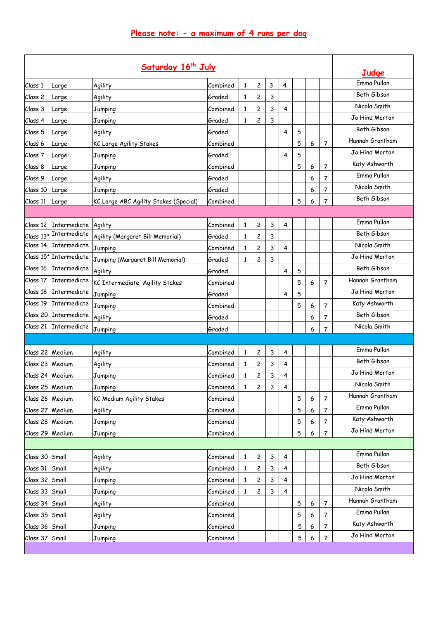| Saturday 16th July |                        |                                       |          |   |                         |   |                         |   |   |                | Judge           |
|--------------------|------------------------|---------------------------------------|----------|---|-------------------------|---|-------------------------|---|---|----------------|-----------------|
| Class 1            | Large                  | Agility                               | Combined | 1 | $\overline{c}$          | 3 | $\overline{4}$          |   |   |                | Emma Pullan     |
| Class 2            | Large                  | Agility                               | Graded   | 1 | 2                       | 3 |                         |   |   |                | Beth Gibson     |
| Class 3            | Large                  | Jumping                               | Combined | 1 | 2                       | 3 | 4                       |   |   |                | Nicola Smith    |
| Class 4            | Large                  | Jumping                               | Graded   | 1 | 2                       | 3 |                         |   |   |                | Jo Hind Morton  |
| Class 5            | Large                  | Agility                               | Graded   |   |                         |   | 4                       | 5 |   |                | Beth Gibson     |
| Class 6            | Large                  | KC Large Agility Stakes               | Combined |   |                         |   |                         | 5 | 6 | 7              | Hannah Grantham |
| Class 7            | Large                  | Jumping                               | Graded   |   |                         |   | 4                       | 5 |   |                | Jo Hind Morton  |
| Class 8            | Large                  | Jumping                               | Combined |   |                         |   |                         | 5 | 6 | 7              | Katy Ashworth   |
| Class 9            | Large                  | Agility                               | Graded   |   |                         |   |                         |   | 6 | $\overline{7}$ | Emma Pullan     |
| Class 10           | Large                  | Jumping                               | Graded   |   |                         |   |                         |   | 6 | 7              | Nicola Smith    |
| Class 11           | Large                  | KC Large ABC Agility Stakes (Special) | Combined |   |                         |   |                         | 5 | 6 | $\overline{7}$ | Beth Gibson     |
|                    |                        |                                       |          |   |                         |   |                         |   |   |                |                 |
|                    | Class 12 Intermediate  | Agility                               | Combined | 1 | 2                       | 3 | 4                       |   |   |                | Emma Pullan     |
|                    | Class 13* Intermediate | Agility (Margaret Bill Memorial)      | Graded   | 1 | 2                       | 3 |                         |   |   |                | Beth Gibson     |
|                    | Class 14 Intermediate  | Jumping                               | Combined | 1 | $\overline{\mathbf{c}}$ | 3 | 4                       |   |   |                | Nicola Smith    |
|                    | Class 15* Intermediate | Jumping (Margaret Bill Memorial)      | Graded   | 1 | 2                       | 3 |                         |   |   |                | Jo Hind Morton  |
| Class 16           | Intermediate           | Agility                               | Graded   |   |                         |   | 4                       | 5 |   |                | Beth Gibson     |
| Class 17           | <b>Intermediate</b>    | KC Intermediate Agility Stakes        | Combined |   |                         |   |                         | 5 | 6 | $\overline{7}$ | Hannah Grantham |
| Class 18           | Intermediate           | Jumping                               | Graded   |   |                         |   | 4                       | 5 |   |                | Jo Hind Morton  |
| Class 19           | Intermediate           | Jumping                               | Combined |   |                         |   |                         | 5 | 6 | $\overline{7}$ | Katy Ashworth   |
|                    | Class 20 Intermediate  | Agility                               | Graded   |   |                         |   |                         |   | 6 | 7              | Beth Gibson     |
| Class 21           | <b>Intermediate</b>    | Jumping                               | Graded   |   |                         |   |                         |   | 6 | 7              | Nicola Smith    |
|                    |                        |                                       |          |   |                         |   |                         |   |   |                |                 |
| Class 22 Medium    |                        | Agility                               | Combined | 1 | 2                       | 3 | 4                       |   |   |                | Emma Pullan     |
| Class 23 Medium    |                        | Agility                               | Combined | 1 | $\overline{c}$          | 3 | 4                       |   |   |                | Beth Gibson     |
| Class 24 Medium    |                        | Jumping                               | Combined | 1 | 2                       | 3 | 4                       |   |   |                | Jo Hind Morton  |
| Class 25 Medium    |                        | Jumping                               | Combined | 1 | 2                       | 3 | 4                       |   |   |                | Nicola Smith    |
| Class 26 Medium    |                        | KC Medium Agility Stakes              | Combined |   |                         |   |                         | 5 | 6 | 7              | Hannah Grantham |
| Class 27 Medium    |                        | Agility                               | Combined |   |                         |   |                         | 5 | 6 | 7              | Emma Pullan     |
| Class 28 Medium    |                        | Jumping                               | Combined |   |                         |   |                         | 5 | 6 | 7              | Katy Ashworth   |
| Class 29 Medium    |                        | Jumping                               | Combined |   |                         |   |                         | 5 | 6 | $\overline{7}$ | Jo Hind Morton  |
|                    |                        |                                       |          |   |                         |   |                         |   |   |                |                 |
| Class 30 Small     |                        | Agility                               | Combined | 1 | 2                       | 3 | 4                       |   |   |                | Emma Pullan     |
| Class 31           | Small                  | Agility                               | Combined | 1 | 2                       | 3 | 4                       |   |   |                | Beth Gibson     |
| Class 32 Small     |                        | Jumping                               | Combined | 1 | $\mathbf{2}$            | 3 | 4                       |   |   |                | Jo Hind Morton  |
| Class 33 Small     |                        | Jumping                               | Combined | 1 | $\overline{c}$          | 3 | $\overline{\mathbf{4}}$ |   |   |                | Nicola Smith    |
| Class 34 Small     |                        | Agility                               | Combined |   |                         |   |                         | 5 | 6 | 7              | Hannah Grantham |
| Class 35 Small     |                        | Agility                               | Combined |   |                         |   |                         | 5 | 6 | 7              | Emma Pullan     |
| Class 36 Small     |                        | Jumping                               | Combined |   |                         |   |                         | 5 | 6 | $\overline{7}$ | Katy Ashworth   |
| Class 37 Small     |                        | Jumping                               | Combined |   |                         |   |                         | 5 | 6 | 7              | Jo Hind Morton  |
|                    |                        |                                       |          |   |                         |   |                         |   |   |                |                 |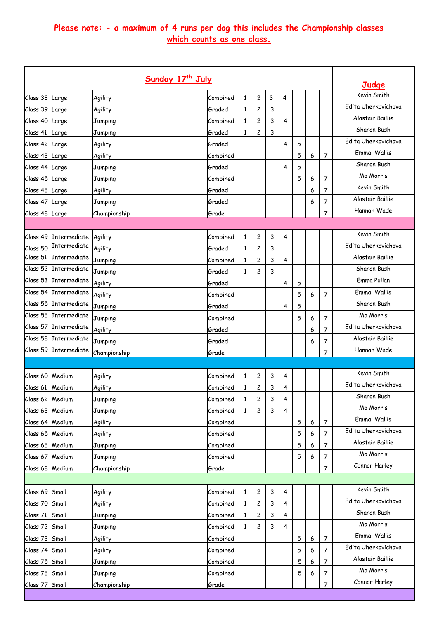# **Please note: - a maximum of 4 runs per dog this includes the Championship classes which counts as one class.**

|                 | Judge                 |              |          |              |                         |   |                |   |   |                |                     |
|-----------------|-----------------------|--------------|----------|--------------|-------------------------|---|----------------|---|---|----------------|---------------------|
| Class 38 Large  |                       | Agility      | Combined | 1            | 2                       | 3 | 4              |   |   |                | Kevin Smith         |
| Class 39 Large  |                       | Agility      | Graded   | $\mathbf{1}$ | $\overline{\mathbf{c}}$ | 3 |                |   |   |                | Fdita Uherkovichova |
| Class 40 Large  |                       | Jumping      | Combined | 1            | $\overline{c}$          | 3 | 4              |   |   |                | Alastair Baillie    |
| Class 41 Large  |                       | Jumping      | Graded   | 1            | 2                       | 3 |                |   |   |                | Sharon Bush         |
| Class 42 Large  |                       | Agility      | Graded   |              |                         |   | 4              | 5 |   |                | Edita Uherkovichova |
| Class 43 Large  |                       | Agility      | Combined |              |                         |   |                | 5 | 6 | 7              | Emma Wallis         |
| Class 44 Large  |                       | Jumping      | Graded   |              |                         |   | 4              | 5 |   |                | Sharon Bush         |
| Class 45 Large  |                       | Jumping      | Combined |              |                         |   |                | 5 | 6 | 7              | Mo Morris           |
| Class 46 Large  |                       | Agility      | Graded   |              |                         |   |                |   | 6 | 7              | Kevin Smith         |
| Class 47 Large  |                       | Jumping      | Graded   |              |                         |   |                |   | 6 | 7              | Alastair Baillie    |
| Class 48 Large  |                       | Championship | Grade    |              |                         |   |                |   |   | $\overline{7}$ | Hannah Wade         |
|                 |                       |              |          |              |                         |   |                |   |   |                |                     |
| Class 49        | Intermediate          | Agility      | Combined | $\mathbf{1}$ | 2                       | 3 | 4              |   |   |                | Kevin Smith         |
| Class 50        | Intermediate          | Agility      | Graded   | $\mathbf{1}$ | $\overline{c}$          | 3 |                |   |   |                | Edita Uherkovichova |
| Class 51        | Intermediate          | Jumping      | Combined | 1            | 2                       | 3 | 4              |   |   |                | Alastair Baillie    |
| Class 52        | Intermediate          | Jumping      | Graded   | 1            | 2                       | 3 |                |   |   |                | Sharon Bush         |
| Class 53        | Intermediate          | Agility      | Graded   |              |                         |   | 4              | 5 |   |                | Emma Pullan         |
| Class 54        | <b>Intermediate</b>   | Agility      | Combined |              |                         |   |                | 5 | 6 | 7              | Emma Wallis         |
| Class 55        | <i>Intermediate</i>   | Jumping      | Graded   |              |                         |   | 4              | 5 |   |                | Sharon Bush         |
| Class 56        | Intermediate          | Jumping      | Combined |              |                         |   |                | 5 | 6 | 7              | Mo Morris           |
| Class 57        | <b>Intermediate</b>   | Agility      | Graded   |              |                         |   |                |   | 6 | 7              | Edita Uherkovichova |
| Class 58        | Intermediate          | Jumping      | Graded   |              |                         |   |                |   | 6 | 7              | Alastair Baillie    |
|                 | Class 59 Intermediate | Championship | Grade    |              |                         |   |                |   |   | $\overline{7}$ | Hannah Wade         |
|                 |                       |              |          |              |                         |   |                |   |   |                |                     |
| Class 60 Medium |                       | Agility      | Combined | 1            | 2                       | 3 | 4              |   |   |                | Kevin Smith         |
| Class 61 Medium |                       | Agility      | Combined | 1            | 2                       | 3 | 4              |   |   |                | Edita Uherkovichova |
| Class 62 Medium |                       | Jumping      | Combined | 1            | 2                       | 3 | 4              |   |   |                | Sharon Bush         |
| Class 63 Medium |                       | Jumping      | Combined | 1            | 2                       | 3 | 4              |   |   |                | Mo Morris           |
| Class 64 Medium |                       | Agility      | Combined |              |                         |   |                | 5 | 6 | 7              | Emma Wallis         |
| Class 65 Medium |                       | Agility      | Combined |              |                         |   |                | 5 | 6 | $\overline{7}$ | Edita Uherkovichova |
| Class 66 Medium |                       | Jumping      | Combined |              |                         |   |                | 5 | 6 | $\overline{7}$ | Alastair Baillie    |
| Class 67 Medium |                       | Jumping      | Combined |              |                         |   |                | 5 | 6 | $\overline{7}$ | Mo Morris           |
| Class 68 Medium |                       | Championship | Grade    |              |                         |   |                |   |   | 7              | Connor Harley       |
|                 |                       |              |          |              |                         |   |                |   |   |                |                     |
| Class 69 Small  |                       | Agility      | Combined | $\mathbf{1}$ | $\overline{\mathbf{c}}$ | 3 | $\overline{4}$ |   |   |                | Kevin Smith         |
| Class 70 Small  |                       | Agility      | Combined | 1            | 2                       | 3 | 4              |   |   |                | Edita Uherkovichova |
| Class 71 Small  |                       | Jumping      | Combined | 1            | 2                       | 3 | 4              |   |   |                | Sharon Bush         |
| Class 72 Small  |                       | Jumping      | Combined | 1            | $\overline{c}$          | 3 | 4              |   |   |                | Mo Morris           |
| Class 73        | Small                 | Agility      | Combined |              |                         |   |                | 5 | 6 | 7              | Emma Wallis         |
| Class 74 Small  |                       | Agility      | Combined |              |                         |   |                | 5 | 6 | 7              | Edita Uherkovichova |
| Class 75 Small  |                       | Jumping      | Combined |              |                         |   |                | 5 | 6 | 7              | Alastair Baillie    |
| Class 76 Small  |                       | Jumping      | Combined |              |                         |   |                | 5 | 6 | 7              | Mo Morris           |
| Class 77 Small  |                       |              | Grade    |              |                         |   |                |   |   | $\overline{7}$ | Connor Harley       |
|                 |                       | Championship |          |              |                         |   |                |   |   |                |                     |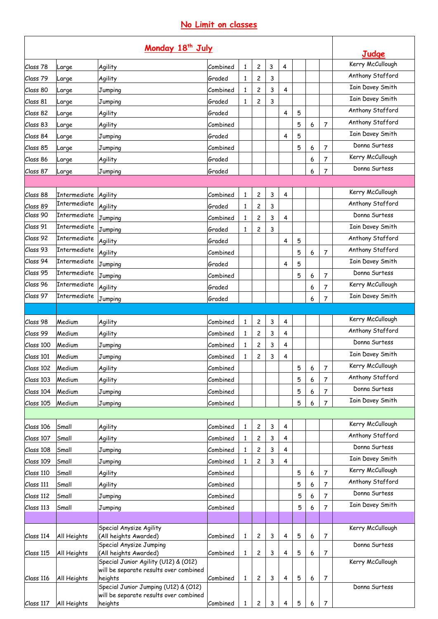# **No Limit on classes**

| Monday 18 <sup>th</sup> July |                                     |                                                                                |                    |              |                |   |                |   |                  |                         | Judge                   |
|------------------------------|-------------------------------------|--------------------------------------------------------------------------------|--------------------|--------------|----------------|---|----------------|---|------------------|-------------------------|-------------------------|
| Class 78                     | arge                                | Agility                                                                        | Combined           | 1            | $\overline{c}$ | 3 | $\overline{4}$ |   |                  |                         | Kerry McCullough        |
| Class 79                     | Large                               | Agility                                                                        | Graded             | 1            | 2              | 3 |                |   |                  |                         | Anthony Stafford        |
| Class 80                     | Large                               | Jumping                                                                        | Combined           | 1            | 2              | 3 | 4              |   |                  |                         | <b>Iain Davey Smith</b> |
| Class 81                     | Large                               | Jumping                                                                        | Graded             | 1            | 2              | 3 |                |   |                  |                         | <b>Iain Davey Smith</b> |
| Class 82                     |                                     | Agility                                                                        | Graded             |              |                |   | 4              | 5 |                  |                         | Anthony Stafford        |
| Class 83                     | arge                                | Agility                                                                        | Combined           |              |                |   |                | 5 | 6                | 7                       | Anthony Stafford        |
| Class 84                     | arge                                | Jumping                                                                        | Graded             |              |                |   | 4              | 5 |                  |                         | <b>Iain Davey Smith</b> |
| Class 85                     | Large                               |                                                                                | Combined           |              |                |   |                | 5 | 6                | 7                       | Donna Surtess           |
| Class 86                     | Large                               | Jumping<br>Agility                                                             | Graded             |              |                |   |                |   | 6                | 7                       | Kerry McCullough        |
|                              | arge                                | Jumping                                                                        | Graded             |              |                |   |                |   | 6                | 7                       | Donna Surtess           |
| Class 87                     | Large                               |                                                                                |                    |              |                |   |                |   |                  |                         |                         |
|                              |                                     |                                                                                | Combined           |              |                |   |                |   |                  |                         | Kerry McCullough        |
| Class 88<br>Class 89         | Intermediate<br><b>Intermediate</b> | Agility                                                                        | Graded             | $\mathbf{1}$ | 2              | 3 | 4              |   |                  |                         | Anthony Stafford        |
| Class 90                     | Intermediate                        | Agility                                                                        |                    | 1            | 2              | 3 |                |   |                  |                         | Donna Surtess           |
| Class 91                     | <b>Intermediate</b>                 | Jumping                                                                        | Combined<br>Graded | 1            | 2              | 3 | 4              |   |                  |                         | <b>Iain Davey Smith</b> |
| Class 92                     | Intermediate                        | Jumping                                                                        |                    | 1            | 2              | 3 |                |   |                  |                         | Anthony Stafford        |
| Class 93                     | <b>Intermediate</b>                 | Agility                                                                        | Graded             |              |                |   | 4              | 5 |                  |                         | Anthony Stafford        |
| Class 94                     | Intermediate                        | Agility                                                                        | Combined           |              |                |   |                | 5 | 6                | 7                       | <b>Iain Davey Smith</b> |
| Class 95                     | Intermediate                        | Jumping                                                                        | Graded             |              |                |   | 4              | 5 |                  |                         | Donna Surtess           |
| Class 96                     | Intermediate                        | Jumping                                                                        | Combined           |              |                |   |                | 5 | 6                | $\overline{7}$          | Kerry McCullough        |
| Class 97                     | Intermediate                        | Agility                                                                        | Graded             |              |                |   |                |   | 6                | 7                       | <b>Iain Davey Smith</b> |
|                              |                                     | Jumping                                                                        | Graded             |              |                |   |                |   | 6                | 7                       |                         |
|                              |                                     |                                                                                |                    |              |                |   |                |   |                  |                         | Kerry McCullough        |
| Class 98                     | Medium                              | Agility                                                                        | Combined           | 1            | 2              | 3 | 4              |   |                  |                         | Anthony Stafford        |
| Class 99                     | Medium                              | Agility                                                                        | Combined           | 1            | 2              | 3 | 4              |   |                  |                         | Donna Surtess           |
| Class 100                    | Medium                              | Jumping                                                                        | Combined           | $\mathbf{1}$ | 2              | 3 | 4              |   |                  |                         | <b>Iain Davey Smith</b> |
| Class 101                    | Medium                              | Jumping                                                                        | Combined           | 1            | 2              | 3 | 4              |   |                  |                         | Kerry McCullough        |
| Class 102                    | Medium                              | Agility                                                                        | Combined           |              |                |   |                | 5 | 6                | $\overline{\mathbf{7}}$ | Anthony Stafford        |
| Class 103                    | Medium                              | Agility                                                                        | Combined           |              |                |   |                | 5 | 6                | $\overline{7}$          | Donna Surtess           |
| Class 104                    | Medium                              | Jumping                                                                        | Combined           |              |                |   |                | 5 | 6                | 7                       | <b>Iain Davey Smith</b> |
| Class 105                    | Medium                              | Jumping                                                                        | Combined           |              |                |   |                | 5 | 6                | 7                       |                         |
|                              |                                     |                                                                                |                    |              |                |   |                |   |                  |                         | Kerry McCullough        |
| Class 106                    | Small                               | Agility                                                                        | Combined           | 1            | 2              | 3 | 4              |   |                  |                         | Anthony Stafford        |
| Class 107                    | Small                               | Agility                                                                        | Combined           | 1            | 2              | 3 | 4              |   |                  |                         | Donna Surtess           |
| Class 108                    | Small                               | Jumping                                                                        | Combined           | 1            | 2              | 3 | 4              |   |                  |                         | <b>Iain Davey Smith</b> |
| Class 109                    | Small                               | Jumping                                                                        | Combined           | 1            | 2              | 3 | 4              |   |                  |                         | Kerry McCullough        |
| Class 110                    | Small                               | Agility                                                                        | Combined           |              |                |   |                | 5 | 6                | $\overline{7}$          | Anthony Stafford        |
| Class 111                    | Small                               | Agility                                                                        | Combined           |              |                |   |                | 5 | 6                | 7                       | Donna Surtess           |
| Class 112                    | Small                               | Jumping                                                                        | Combined           |              |                |   |                | 5 | 6                | $\overline{7}$          |                         |
| Class 113                    | Small                               | Jumping                                                                        | Combined           |              |                |   |                | 5 | 6                | 7                       | <b>Iain Davey Smith</b> |
|                              |                                     |                                                                                |                    |              |                |   |                |   |                  |                         |                         |
| Class 114                    | All Heights                         | Special Anysize Agility<br>(All heights Awarded)                               | Combined           | $\mathbf{1}$ | 2              | 3 | 4              | 5 | 6                | 7                       | Kerry McCullough        |
|                              |                                     | Special Anysize Jumping                                                        |                    |              |                |   |                |   |                  |                         | Donna Surtess           |
| Class 115                    | All Heights                         | (All heights Awarded)<br>Special Junior Agility (U12) & (O12)                  | Combined           | $\mathbf{1}$ | 2              | 3 | 4              | 5 | 6                | 7                       | Kerry McCullough        |
|                              |                                     | will be separate results over combined                                         |                    |              |                |   |                |   |                  |                         |                         |
| Class 116                    | All Heights                         | heights                                                                        | Combined           | $\mathbf{1}$ | $\mathbf{2}$   | 3 | 4              | 5 | 6                | $\overline{7}$          |                         |
|                              |                                     | Special Junior Jumping (U12) & (O12)<br>will be separate results over combined |                    |              |                |   |                |   |                  |                         | Donna Surtess           |
| Class 117                    | All Heights                         | heights                                                                        | Combined           | $\mathbf{1}$ | 2              | 3 | 4              | 5 | $\boldsymbol{6}$ | $\overline{7}$          |                         |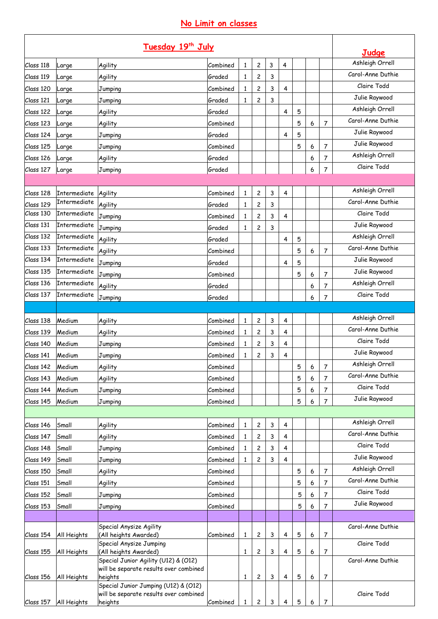# **No Limit on classes**

| Ashleigh Orrell<br>2<br>3<br>$\overline{\mathbf{4}}$<br>Class 118<br>Agility<br>Combined<br>1<br>Large<br>Carol-Anne Duthie<br>Class 119<br>Graded<br>2<br>3<br>Agility<br>1<br>Large<br>Claire Todd<br>2<br>3<br>Class 120<br>Combined<br>4<br>1<br>Large<br>Jumping<br>Julie Raywood<br>Graded<br>Class 121<br>2<br>3<br>Jumping<br>1<br>Large<br>Ashleigh Orrell<br>Class 122<br>Graded<br>4<br>5<br>Agility<br>Large<br>Carol-Anne Duthie<br>5<br>6<br>7<br>Class 123<br>Agility<br>Combined<br>Large<br>Julie Raywood<br>Graded<br>5<br>Class 124<br>Jumping<br>4<br>Large<br>Julie Raywood<br>7<br>Class 125<br>5<br>6<br>Combined<br>Large<br>Jumping<br>Ashleigh Orrell<br>Graded<br>6<br>Class 126<br>Agility<br>7<br>Large<br>Claire Todd<br>Graded<br>6<br>7<br>Class 127<br>Jumping<br>Large<br>Ashleigh Orrell<br>4<br>Class 128<br>Intermediate<br>Agility<br>Combined<br>2<br>3<br>1<br>Carol-Anne Duthie<br>Intermediate<br>Class 129<br>Agility<br>Graded<br>2<br>3<br>1<br>Claire Todd<br>Intermediate<br>Jumping<br>2<br>3<br>Combined<br>$\mathbf{1}$<br>4<br>Julie Raywood<br>Intermediate<br>Jumping<br>Graded<br>2<br>3<br>1<br>Ashleigh Orrell<br>Intermediate<br>Agility<br>Graded<br>4<br>5<br>Carol-Anne Duthie<br>Intermediate<br>5<br>7<br>Agility<br>Combined<br>6<br>Intermediate<br>Julie Raywood<br>Jumping<br>5<br>Graded<br>4<br>Julie Raywood<br>Intermediate<br>5<br>7<br>Combined<br>6<br>Jumping<br>Ashleigh Orrell<br>Intermediate<br>Graded<br>Agility<br>6<br>7<br>Claire Todd<br>Intermediate<br>7<br>Jumping<br>Graded<br>6<br>Ashleigh Orrell<br>Agility<br>Class 138<br>Medium<br>Combined<br>2<br>3<br>4<br>1<br>Carol-Anne Duthie<br>4<br>Class 139<br>Medium<br>2<br>3<br>Agility<br>Combined<br>1<br>Claire Todd<br>Class 140<br>Medium<br>2<br>Jumping<br>Combined<br>$\mathbf{1}$<br>3<br>4<br>Julie Raywood<br>3<br>Class 141<br>Medium<br>$\mathbf{1}$<br>2<br>4<br>Jumping<br>Combined<br>Ashleigh Orrell<br>Combined<br>$\overline{7}$<br>Class 142<br>5<br>$\epsilon$<br>Medium<br>Agility<br>Carol-Anne Duthie<br>5<br>6<br>Class 143<br>Medium<br>Agility<br>Combined<br>7<br>Claire Todd<br>5<br>7<br>Class 144<br>Medium<br>Combined<br>6<br>Jumping<br>Julie Raywood<br>5<br>6<br>7<br>Medium<br>Combined<br>Class 145<br>Jumping<br>Ashleigh Orrell<br>Small<br>Combined<br>2<br>3<br>4<br>Agility<br>1<br>Carol-Anne Duthie<br>Small<br>2<br>3<br>Class 147<br>Agility<br>Combined<br>4<br>1<br>Claire Todd<br>Class 148<br>Combined<br>2<br>3<br>4<br>Small<br>Jumping<br>1<br>Julie Raywood<br>4<br>Small<br>3<br>Combined<br>1<br>2<br>Jumping<br>Ashleigh Orrell<br>5<br>Small<br>6<br>$\overline{7}$<br>Class 150<br>Agility<br>Combined<br>Carol-Anne Duthie<br>5<br>Small<br>Agility<br>Combined<br>6<br>7<br>Claire Todd<br>5<br>6<br>7<br>Small<br>Combined<br>Jumping<br>Julie Raywood<br>Small<br>Combined<br>5<br>6<br>7<br>Jumping<br>Special Anysize Agility<br>Carol-Anne Duthie<br>(All heights Awarded)<br>5<br>6<br>All Heights<br>Combined<br>1<br>2<br>3<br>4<br>7<br>Special Anysize Jumping<br>Claire Todd<br>(All heights Awarded)<br>3<br>$\mathbf{1}$<br>2<br>4<br>5<br>6<br>All Heights<br>7<br>Special Junior Agility (U12) & (O12)<br>Carol-Anne Duthie<br>will be separate results over combined<br>5<br>6<br>heights<br>2<br>3<br>4<br>$\overline{7}$<br>All Heights<br>$\mathbf{1}$<br>Special Junior Jumping (U12) & (O12)<br>will be separate results over combined<br>Claire Todd<br>3<br>5<br>heights<br>Combined<br>2<br>6<br>7<br>Class 157<br>All Heights<br>1<br>4 | Tuesday 19th July |  |  |  |  |  |  |  |  |  |  | Judge |
|---------------------------------------------------------------------------------------------------------------------------------------------------------------------------------------------------------------------------------------------------------------------------------------------------------------------------------------------------------------------------------------------------------------------------------------------------------------------------------------------------------------------------------------------------------------------------------------------------------------------------------------------------------------------------------------------------------------------------------------------------------------------------------------------------------------------------------------------------------------------------------------------------------------------------------------------------------------------------------------------------------------------------------------------------------------------------------------------------------------------------------------------------------------------------------------------------------------------------------------------------------------------------------------------------------------------------------------------------------------------------------------------------------------------------------------------------------------------------------------------------------------------------------------------------------------------------------------------------------------------------------------------------------------------------------------------------------------------------------------------------------------------------------------------------------------------------------------------------------------------------------------------------------------------------------------------------------------------------------------------------------------------------------------------------------------------------------------------------------------------------------------------------------------------------------------------------------------------------------------------------------------------------------------------------------------------------------------------------------------------------------------------------------------------------------------------------------------------------------------------------------------------------------------------------------------------------------------------------------------------------------------------------------------------------------------------------------------------------------------------------------------------------------------------------------------------------------------------------------------------------------------------------------------------------------------------------------------------------------------------------------------------------------------------------------------------------------------------------------------------------------------------------------------------------------------------------------------------------------------------------------------------------------------------------------------------------------------------------------------------------------------------------------------------------------------------------------------------------------------------------------------------------------------------------------------------------|-------------------|--|--|--|--|--|--|--|--|--|--|-------|
|                                                                                                                                                                                                                                                                                                                                                                                                                                                                                                                                                                                                                                                                                                                                                                                                                                                                                                                                                                                                                                                                                                                                                                                                                                                                                                                                                                                                                                                                                                                                                                                                                                                                                                                                                                                                                                                                                                                                                                                                                                                                                                                                                                                                                                                                                                                                                                                                                                                                                                                                                                                                                                                                                                                                                                                                                                                                                                                                                                                                                                                                                                                                                                                                                                                                                                                                                                                                                                                                                                                                                                           |                   |  |  |  |  |  |  |  |  |  |  |       |
|                                                                                                                                                                                                                                                                                                                                                                                                                                                                                                                                                                                                                                                                                                                                                                                                                                                                                                                                                                                                                                                                                                                                                                                                                                                                                                                                                                                                                                                                                                                                                                                                                                                                                                                                                                                                                                                                                                                                                                                                                                                                                                                                                                                                                                                                                                                                                                                                                                                                                                                                                                                                                                                                                                                                                                                                                                                                                                                                                                                                                                                                                                                                                                                                                                                                                                                                                                                                                                                                                                                                                                           |                   |  |  |  |  |  |  |  |  |  |  |       |
|                                                                                                                                                                                                                                                                                                                                                                                                                                                                                                                                                                                                                                                                                                                                                                                                                                                                                                                                                                                                                                                                                                                                                                                                                                                                                                                                                                                                                                                                                                                                                                                                                                                                                                                                                                                                                                                                                                                                                                                                                                                                                                                                                                                                                                                                                                                                                                                                                                                                                                                                                                                                                                                                                                                                                                                                                                                                                                                                                                                                                                                                                                                                                                                                                                                                                                                                                                                                                                                                                                                                                                           |                   |  |  |  |  |  |  |  |  |  |  |       |
|                                                                                                                                                                                                                                                                                                                                                                                                                                                                                                                                                                                                                                                                                                                                                                                                                                                                                                                                                                                                                                                                                                                                                                                                                                                                                                                                                                                                                                                                                                                                                                                                                                                                                                                                                                                                                                                                                                                                                                                                                                                                                                                                                                                                                                                                                                                                                                                                                                                                                                                                                                                                                                                                                                                                                                                                                                                                                                                                                                                                                                                                                                                                                                                                                                                                                                                                                                                                                                                                                                                                                                           |                   |  |  |  |  |  |  |  |  |  |  |       |
|                                                                                                                                                                                                                                                                                                                                                                                                                                                                                                                                                                                                                                                                                                                                                                                                                                                                                                                                                                                                                                                                                                                                                                                                                                                                                                                                                                                                                                                                                                                                                                                                                                                                                                                                                                                                                                                                                                                                                                                                                                                                                                                                                                                                                                                                                                                                                                                                                                                                                                                                                                                                                                                                                                                                                                                                                                                                                                                                                                                                                                                                                                                                                                                                                                                                                                                                                                                                                                                                                                                                                                           |                   |  |  |  |  |  |  |  |  |  |  |       |
|                                                                                                                                                                                                                                                                                                                                                                                                                                                                                                                                                                                                                                                                                                                                                                                                                                                                                                                                                                                                                                                                                                                                                                                                                                                                                                                                                                                                                                                                                                                                                                                                                                                                                                                                                                                                                                                                                                                                                                                                                                                                                                                                                                                                                                                                                                                                                                                                                                                                                                                                                                                                                                                                                                                                                                                                                                                                                                                                                                                                                                                                                                                                                                                                                                                                                                                                                                                                                                                                                                                                                                           |                   |  |  |  |  |  |  |  |  |  |  |       |
|                                                                                                                                                                                                                                                                                                                                                                                                                                                                                                                                                                                                                                                                                                                                                                                                                                                                                                                                                                                                                                                                                                                                                                                                                                                                                                                                                                                                                                                                                                                                                                                                                                                                                                                                                                                                                                                                                                                                                                                                                                                                                                                                                                                                                                                                                                                                                                                                                                                                                                                                                                                                                                                                                                                                                                                                                                                                                                                                                                                                                                                                                                                                                                                                                                                                                                                                                                                                                                                                                                                                                                           |                   |  |  |  |  |  |  |  |  |  |  |       |
|                                                                                                                                                                                                                                                                                                                                                                                                                                                                                                                                                                                                                                                                                                                                                                                                                                                                                                                                                                                                                                                                                                                                                                                                                                                                                                                                                                                                                                                                                                                                                                                                                                                                                                                                                                                                                                                                                                                                                                                                                                                                                                                                                                                                                                                                                                                                                                                                                                                                                                                                                                                                                                                                                                                                                                                                                                                                                                                                                                                                                                                                                                                                                                                                                                                                                                                                                                                                                                                                                                                                                                           |                   |  |  |  |  |  |  |  |  |  |  |       |
|                                                                                                                                                                                                                                                                                                                                                                                                                                                                                                                                                                                                                                                                                                                                                                                                                                                                                                                                                                                                                                                                                                                                                                                                                                                                                                                                                                                                                                                                                                                                                                                                                                                                                                                                                                                                                                                                                                                                                                                                                                                                                                                                                                                                                                                                                                                                                                                                                                                                                                                                                                                                                                                                                                                                                                                                                                                                                                                                                                                                                                                                                                                                                                                                                                                                                                                                                                                                                                                                                                                                                                           |                   |  |  |  |  |  |  |  |  |  |  |       |
|                                                                                                                                                                                                                                                                                                                                                                                                                                                                                                                                                                                                                                                                                                                                                                                                                                                                                                                                                                                                                                                                                                                                                                                                                                                                                                                                                                                                                                                                                                                                                                                                                                                                                                                                                                                                                                                                                                                                                                                                                                                                                                                                                                                                                                                                                                                                                                                                                                                                                                                                                                                                                                                                                                                                                                                                                                                                                                                                                                                                                                                                                                                                                                                                                                                                                                                                                                                                                                                                                                                                                                           |                   |  |  |  |  |  |  |  |  |  |  |       |
|                                                                                                                                                                                                                                                                                                                                                                                                                                                                                                                                                                                                                                                                                                                                                                                                                                                                                                                                                                                                                                                                                                                                                                                                                                                                                                                                                                                                                                                                                                                                                                                                                                                                                                                                                                                                                                                                                                                                                                                                                                                                                                                                                                                                                                                                                                                                                                                                                                                                                                                                                                                                                                                                                                                                                                                                                                                                                                                                                                                                                                                                                                                                                                                                                                                                                                                                                                                                                                                                                                                                                                           |                   |  |  |  |  |  |  |  |  |  |  |       |
|                                                                                                                                                                                                                                                                                                                                                                                                                                                                                                                                                                                                                                                                                                                                                                                                                                                                                                                                                                                                                                                                                                                                                                                                                                                                                                                                                                                                                                                                                                                                                                                                                                                                                                                                                                                                                                                                                                                                                                                                                                                                                                                                                                                                                                                                                                                                                                                                                                                                                                                                                                                                                                                                                                                                                                                                                                                                                                                                                                                                                                                                                                                                                                                                                                                                                                                                                                                                                                                                                                                                                                           |                   |  |  |  |  |  |  |  |  |  |  |       |
|                                                                                                                                                                                                                                                                                                                                                                                                                                                                                                                                                                                                                                                                                                                                                                                                                                                                                                                                                                                                                                                                                                                                                                                                                                                                                                                                                                                                                                                                                                                                                                                                                                                                                                                                                                                                                                                                                                                                                                                                                                                                                                                                                                                                                                                                                                                                                                                                                                                                                                                                                                                                                                                                                                                                                                                                                                                                                                                                                                                                                                                                                                                                                                                                                                                                                                                                                                                                                                                                                                                                                                           |                   |  |  |  |  |  |  |  |  |  |  |       |
|                                                                                                                                                                                                                                                                                                                                                                                                                                                                                                                                                                                                                                                                                                                                                                                                                                                                                                                                                                                                                                                                                                                                                                                                                                                                                                                                                                                                                                                                                                                                                                                                                                                                                                                                                                                                                                                                                                                                                                                                                                                                                                                                                                                                                                                                                                                                                                                                                                                                                                                                                                                                                                                                                                                                                                                                                                                                                                                                                                                                                                                                                                                                                                                                                                                                                                                                                                                                                                                                                                                                                                           | Class 130         |  |  |  |  |  |  |  |  |  |  |       |
|                                                                                                                                                                                                                                                                                                                                                                                                                                                                                                                                                                                                                                                                                                                                                                                                                                                                                                                                                                                                                                                                                                                                                                                                                                                                                                                                                                                                                                                                                                                                                                                                                                                                                                                                                                                                                                                                                                                                                                                                                                                                                                                                                                                                                                                                                                                                                                                                                                                                                                                                                                                                                                                                                                                                                                                                                                                                                                                                                                                                                                                                                                                                                                                                                                                                                                                                                                                                                                                                                                                                                                           | Class 131         |  |  |  |  |  |  |  |  |  |  |       |
|                                                                                                                                                                                                                                                                                                                                                                                                                                                                                                                                                                                                                                                                                                                                                                                                                                                                                                                                                                                                                                                                                                                                                                                                                                                                                                                                                                                                                                                                                                                                                                                                                                                                                                                                                                                                                                                                                                                                                                                                                                                                                                                                                                                                                                                                                                                                                                                                                                                                                                                                                                                                                                                                                                                                                                                                                                                                                                                                                                                                                                                                                                                                                                                                                                                                                                                                                                                                                                                                                                                                                                           | Class 132         |  |  |  |  |  |  |  |  |  |  |       |
|                                                                                                                                                                                                                                                                                                                                                                                                                                                                                                                                                                                                                                                                                                                                                                                                                                                                                                                                                                                                                                                                                                                                                                                                                                                                                                                                                                                                                                                                                                                                                                                                                                                                                                                                                                                                                                                                                                                                                                                                                                                                                                                                                                                                                                                                                                                                                                                                                                                                                                                                                                                                                                                                                                                                                                                                                                                                                                                                                                                                                                                                                                                                                                                                                                                                                                                                                                                                                                                                                                                                                                           | Class 133         |  |  |  |  |  |  |  |  |  |  |       |
|                                                                                                                                                                                                                                                                                                                                                                                                                                                                                                                                                                                                                                                                                                                                                                                                                                                                                                                                                                                                                                                                                                                                                                                                                                                                                                                                                                                                                                                                                                                                                                                                                                                                                                                                                                                                                                                                                                                                                                                                                                                                                                                                                                                                                                                                                                                                                                                                                                                                                                                                                                                                                                                                                                                                                                                                                                                                                                                                                                                                                                                                                                                                                                                                                                                                                                                                                                                                                                                                                                                                                                           | Class 134         |  |  |  |  |  |  |  |  |  |  |       |
|                                                                                                                                                                                                                                                                                                                                                                                                                                                                                                                                                                                                                                                                                                                                                                                                                                                                                                                                                                                                                                                                                                                                                                                                                                                                                                                                                                                                                                                                                                                                                                                                                                                                                                                                                                                                                                                                                                                                                                                                                                                                                                                                                                                                                                                                                                                                                                                                                                                                                                                                                                                                                                                                                                                                                                                                                                                                                                                                                                                                                                                                                                                                                                                                                                                                                                                                                                                                                                                                                                                                                                           | Class 135         |  |  |  |  |  |  |  |  |  |  |       |
|                                                                                                                                                                                                                                                                                                                                                                                                                                                                                                                                                                                                                                                                                                                                                                                                                                                                                                                                                                                                                                                                                                                                                                                                                                                                                                                                                                                                                                                                                                                                                                                                                                                                                                                                                                                                                                                                                                                                                                                                                                                                                                                                                                                                                                                                                                                                                                                                                                                                                                                                                                                                                                                                                                                                                                                                                                                                                                                                                                                                                                                                                                                                                                                                                                                                                                                                                                                                                                                                                                                                                                           | Class 136         |  |  |  |  |  |  |  |  |  |  |       |
|                                                                                                                                                                                                                                                                                                                                                                                                                                                                                                                                                                                                                                                                                                                                                                                                                                                                                                                                                                                                                                                                                                                                                                                                                                                                                                                                                                                                                                                                                                                                                                                                                                                                                                                                                                                                                                                                                                                                                                                                                                                                                                                                                                                                                                                                                                                                                                                                                                                                                                                                                                                                                                                                                                                                                                                                                                                                                                                                                                                                                                                                                                                                                                                                                                                                                                                                                                                                                                                                                                                                                                           | Class 137         |  |  |  |  |  |  |  |  |  |  |       |
|                                                                                                                                                                                                                                                                                                                                                                                                                                                                                                                                                                                                                                                                                                                                                                                                                                                                                                                                                                                                                                                                                                                                                                                                                                                                                                                                                                                                                                                                                                                                                                                                                                                                                                                                                                                                                                                                                                                                                                                                                                                                                                                                                                                                                                                                                                                                                                                                                                                                                                                                                                                                                                                                                                                                                                                                                                                                                                                                                                                                                                                                                                                                                                                                                                                                                                                                                                                                                                                                                                                                                                           |                   |  |  |  |  |  |  |  |  |  |  |       |
|                                                                                                                                                                                                                                                                                                                                                                                                                                                                                                                                                                                                                                                                                                                                                                                                                                                                                                                                                                                                                                                                                                                                                                                                                                                                                                                                                                                                                                                                                                                                                                                                                                                                                                                                                                                                                                                                                                                                                                                                                                                                                                                                                                                                                                                                                                                                                                                                                                                                                                                                                                                                                                                                                                                                                                                                                                                                                                                                                                                                                                                                                                                                                                                                                                                                                                                                                                                                                                                                                                                                                                           |                   |  |  |  |  |  |  |  |  |  |  |       |
|                                                                                                                                                                                                                                                                                                                                                                                                                                                                                                                                                                                                                                                                                                                                                                                                                                                                                                                                                                                                                                                                                                                                                                                                                                                                                                                                                                                                                                                                                                                                                                                                                                                                                                                                                                                                                                                                                                                                                                                                                                                                                                                                                                                                                                                                                                                                                                                                                                                                                                                                                                                                                                                                                                                                                                                                                                                                                                                                                                                                                                                                                                                                                                                                                                                                                                                                                                                                                                                                                                                                                                           |                   |  |  |  |  |  |  |  |  |  |  |       |
|                                                                                                                                                                                                                                                                                                                                                                                                                                                                                                                                                                                                                                                                                                                                                                                                                                                                                                                                                                                                                                                                                                                                                                                                                                                                                                                                                                                                                                                                                                                                                                                                                                                                                                                                                                                                                                                                                                                                                                                                                                                                                                                                                                                                                                                                                                                                                                                                                                                                                                                                                                                                                                                                                                                                                                                                                                                                                                                                                                                                                                                                                                                                                                                                                                                                                                                                                                                                                                                                                                                                                                           |                   |  |  |  |  |  |  |  |  |  |  |       |
|                                                                                                                                                                                                                                                                                                                                                                                                                                                                                                                                                                                                                                                                                                                                                                                                                                                                                                                                                                                                                                                                                                                                                                                                                                                                                                                                                                                                                                                                                                                                                                                                                                                                                                                                                                                                                                                                                                                                                                                                                                                                                                                                                                                                                                                                                                                                                                                                                                                                                                                                                                                                                                                                                                                                                                                                                                                                                                                                                                                                                                                                                                                                                                                                                                                                                                                                                                                                                                                                                                                                                                           |                   |  |  |  |  |  |  |  |  |  |  |       |
|                                                                                                                                                                                                                                                                                                                                                                                                                                                                                                                                                                                                                                                                                                                                                                                                                                                                                                                                                                                                                                                                                                                                                                                                                                                                                                                                                                                                                                                                                                                                                                                                                                                                                                                                                                                                                                                                                                                                                                                                                                                                                                                                                                                                                                                                                                                                                                                                                                                                                                                                                                                                                                                                                                                                                                                                                                                                                                                                                                                                                                                                                                                                                                                                                                                                                                                                                                                                                                                                                                                                                                           |                   |  |  |  |  |  |  |  |  |  |  |       |
|                                                                                                                                                                                                                                                                                                                                                                                                                                                                                                                                                                                                                                                                                                                                                                                                                                                                                                                                                                                                                                                                                                                                                                                                                                                                                                                                                                                                                                                                                                                                                                                                                                                                                                                                                                                                                                                                                                                                                                                                                                                                                                                                                                                                                                                                                                                                                                                                                                                                                                                                                                                                                                                                                                                                                                                                                                                                                                                                                                                                                                                                                                                                                                                                                                                                                                                                                                                                                                                                                                                                                                           |                   |  |  |  |  |  |  |  |  |  |  |       |
|                                                                                                                                                                                                                                                                                                                                                                                                                                                                                                                                                                                                                                                                                                                                                                                                                                                                                                                                                                                                                                                                                                                                                                                                                                                                                                                                                                                                                                                                                                                                                                                                                                                                                                                                                                                                                                                                                                                                                                                                                                                                                                                                                                                                                                                                                                                                                                                                                                                                                                                                                                                                                                                                                                                                                                                                                                                                                                                                                                                                                                                                                                                                                                                                                                                                                                                                                                                                                                                                                                                                                                           |                   |  |  |  |  |  |  |  |  |  |  |       |
|                                                                                                                                                                                                                                                                                                                                                                                                                                                                                                                                                                                                                                                                                                                                                                                                                                                                                                                                                                                                                                                                                                                                                                                                                                                                                                                                                                                                                                                                                                                                                                                                                                                                                                                                                                                                                                                                                                                                                                                                                                                                                                                                                                                                                                                                                                                                                                                                                                                                                                                                                                                                                                                                                                                                                                                                                                                                                                                                                                                                                                                                                                                                                                                                                                                                                                                                                                                                                                                                                                                                                                           |                   |  |  |  |  |  |  |  |  |  |  |       |
|                                                                                                                                                                                                                                                                                                                                                                                                                                                                                                                                                                                                                                                                                                                                                                                                                                                                                                                                                                                                                                                                                                                                                                                                                                                                                                                                                                                                                                                                                                                                                                                                                                                                                                                                                                                                                                                                                                                                                                                                                                                                                                                                                                                                                                                                                                                                                                                                                                                                                                                                                                                                                                                                                                                                                                                                                                                                                                                                                                                                                                                                                                                                                                                                                                                                                                                                                                                                                                                                                                                                                                           |                   |  |  |  |  |  |  |  |  |  |  |       |
|                                                                                                                                                                                                                                                                                                                                                                                                                                                                                                                                                                                                                                                                                                                                                                                                                                                                                                                                                                                                                                                                                                                                                                                                                                                                                                                                                                                                                                                                                                                                                                                                                                                                                                                                                                                                                                                                                                                                                                                                                                                                                                                                                                                                                                                                                                                                                                                                                                                                                                                                                                                                                                                                                                                                                                                                                                                                                                                                                                                                                                                                                                                                                                                                                                                                                                                                                                                                                                                                                                                                                                           | Class 146         |  |  |  |  |  |  |  |  |  |  |       |
|                                                                                                                                                                                                                                                                                                                                                                                                                                                                                                                                                                                                                                                                                                                                                                                                                                                                                                                                                                                                                                                                                                                                                                                                                                                                                                                                                                                                                                                                                                                                                                                                                                                                                                                                                                                                                                                                                                                                                                                                                                                                                                                                                                                                                                                                                                                                                                                                                                                                                                                                                                                                                                                                                                                                                                                                                                                                                                                                                                                                                                                                                                                                                                                                                                                                                                                                                                                                                                                                                                                                                                           |                   |  |  |  |  |  |  |  |  |  |  |       |
|                                                                                                                                                                                                                                                                                                                                                                                                                                                                                                                                                                                                                                                                                                                                                                                                                                                                                                                                                                                                                                                                                                                                                                                                                                                                                                                                                                                                                                                                                                                                                                                                                                                                                                                                                                                                                                                                                                                                                                                                                                                                                                                                                                                                                                                                                                                                                                                                                                                                                                                                                                                                                                                                                                                                                                                                                                                                                                                                                                                                                                                                                                                                                                                                                                                                                                                                                                                                                                                                                                                                                                           |                   |  |  |  |  |  |  |  |  |  |  |       |
|                                                                                                                                                                                                                                                                                                                                                                                                                                                                                                                                                                                                                                                                                                                                                                                                                                                                                                                                                                                                                                                                                                                                                                                                                                                                                                                                                                                                                                                                                                                                                                                                                                                                                                                                                                                                                                                                                                                                                                                                                                                                                                                                                                                                                                                                                                                                                                                                                                                                                                                                                                                                                                                                                                                                                                                                                                                                                                                                                                                                                                                                                                                                                                                                                                                                                                                                                                                                                                                                                                                                                                           | Class 149         |  |  |  |  |  |  |  |  |  |  |       |
|                                                                                                                                                                                                                                                                                                                                                                                                                                                                                                                                                                                                                                                                                                                                                                                                                                                                                                                                                                                                                                                                                                                                                                                                                                                                                                                                                                                                                                                                                                                                                                                                                                                                                                                                                                                                                                                                                                                                                                                                                                                                                                                                                                                                                                                                                                                                                                                                                                                                                                                                                                                                                                                                                                                                                                                                                                                                                                                                                                                                                                                                                                                                                                                                                                                                                                                                                                                                                                                                                                                                                                           |                   |  |  |  |  |  |  |  |  |  |  |       |
|                                                                                                                                                                                                                                                                                                                                                                                                                                                                                                                                                                                                                                                                                                                                                                                                                                                                                                                                                                                                                                                                                                                                                                                                                                                                                                                                                                                                                                                                                                                                                                                                                                                                                                                                                                                                                                                                                                                                                                                                                                                                                                                                                                                                                                                                                                                                                                                                                                                                                                                                                                                                                                                                                                                                                                                                                                                                                                                                                                                                                                                                                                                                                                                                                                                                                                                                                                                                                                                                                                                                                                           | Class 151         |  |  |  |  |  |  |  |  |  |  |       |
|                                                                                                                                                                                                                                                                                                                                                                                                                                                                                                                                                                                                                                                                                                                                                                                                                                                                                                                                                                                                                                                                                                                                                                                                                                                                                                                                                                                                                                                                                                                                                                                                                                                                                                                                                                                                                                                                                                                                                                                                                                                                                                                                                                                                                                                                                                                                                                                                                                                                                                                                                                                                                                                                                                                                                                                                                                                                                                                                                                                                                                                                                                                                                                                                                                                                                                                                                                                                                                                                                                                                                                           | Class 152         |  |  |  |  |  |  |  |  |  |  |       |
|                                                                                                                                                                                                                                                                                                                                                                                                                                                                                                                                                                                                                                                                                                                                                                                                                                                                                                                                                                                                                                                                                                                                                                                                                                                                                                                                                                                                                                                                                                                                                                                                                                                                                                                                                                                                                                                                                                                                                                                                                                                                                                                                                                                                                                                                                                                                                                                                                                                                                                                                                                                                                                                                                                                                                                                                                                                                                                                                                                                                                                                                                                                                                                                                                                                                                                                                                                                                                                                                                                                                                                           | Class 153         |  |  |  |  |  |  |  |  |  |  |       |
|                                                                                                                                                                                                                                                                                                                                                                                                                                                                                                                                                                                                                                                                                                                                                                                                                                                                                                                                                                                                                                                                                                                                                                                                                                                                                                                                                                                                                                                                                                                                                                                                                                                                                                                                                                                                                                                                                                                                                                                                                                                                                                                                                                                                                                                                                                                                                                                                                                                                                                                                                                                                                                                                                                                                                                                                                                                                                                                                                                                                                                                                                                                                                                                                                                                                                                                                                                                                                                                                                                                                                                           |                   |  |  |  |  |  |  |  |  |  |  |       |
|                                                                                                                                                                                                                                                                                                                                                                                                                                                                                                                                                                                                                                                                                                                                                                                                                                                                                                                                                                                                                                                                                                                                                                                                                                                                                                                                                                                                                                                                                                                                                                                                                                                                                                                                                                                                                                                                                                                                                                                                                                                                                                                                                                                                                                                                                                                                                                                                                                                                                                                                                                                                                                                                                                                                                                                                                                                                                                                                                                                                                                                                                                                                                                                                                                                                                                                                                                                                                                                                                                                                                                           | Class 154         |  |  |  |  |  |  |  |  |  |  |       |
|                                                                                                                                                                                                                                                                                                                                                                                                                                                                                                                                                                                                                                                                                                                                                                                                                                                                                                                                                                                                                                                                                                                                                                                                                                                                                                                                                                                                                                                                                                                                                                                                                                                                                                                                                                                                                                                                                                                                                                                                                                                                                                                                                                                                                                                                                                                                                                                                                                                                                                                                                                                                                                                                                                                                                                                                                                                                                                                                                                                                                                                                                                                                                                                                                                                                                                                                                                                                                                                                                                                                                                           | Class 155         |  |  |  |  |  |  |  |  |  |  |       |
|                                                                                                                                                                                                                                                                                                                                                                                                                                                                                                                                                                                                                                                                                                                                                                                                                                                                                                                                                                                                                                                                                                                                                                                                                                                                                                                                                                                                                                                                                                                                                                                                                                                                                                                                                                                                                                                                                                                                                                                                                                                                                                                                                                                                                                                                                                                                                                                                                                                                                                                                                                                                                                                                                                                                                                                                                                                                                                                                                                                                                                                                                                                                                                                                                                                                                                                                                                                                                                                                                                                                                                           |                   |  |  |  |  |  |  |  |  |  |  |       |
|                                                                                                                                                                                                                                                                                                                                                                                                                                                                                                                                                                                                                                                                                                                                                                                                                                                                                                                                                                                                                                                                                                                                                                                                                                                                                                                                                                                                                                                                                                                                                                                                                                                                                                                                                                                                                                                                                                                                                                                                                                                                                                                                                                                                                                                                                                                                                                                                                                                                                                                                                                                                                                                                                                                                                                                                                                                                                                                                                                                                                                                                                                                                                                                                                                                                                                                                                                                                                                                                                                                                                                           | Class 156         |  |  |  |  |  |  |  |  |  |  |       |
|                                                                                                                                                                                                                                                                                                                                                                                                                                                                                                                                                                                                                                                                                                                                                                                                                                                                                                                                                                                                                                                                                                                                                                                                                                                                                                                                                                                                                                                                                                                                                                                                                                                                                                                                                                                                                                                                                                                                                                                                                                                                                                                                                                                                                                                                                                                                                                                                                                                                                                                                                                                                                                                                                                                                                                                                                                                                                                                                                                                                                                                                                                                                                                                                                                                                                                                                                                                                                                                                                                                                                                           |                   |  |  |  |  |  |  |  |  |  |  |       |
|                                                                                                                                                                                                                                                                                                                                                                                                                                                                                                                                                                                                                                                                                                                                                                                                                                                                                                                                                                                                                                                                                                                                                                                                                                                                                                                                                                                                                                                                                                                                                                                                                                                                                                                                                                                                                                                                                                                                                                                                                                                                                                                                                                                                                                                                                                                                                                                                                                                                                                                                                                                                                                                                                                                                                                                                                                                                                                                                                                                                                                                                                                                                                                                                                                                                                                                                                                                                                                                                                                                                                                           |                   |  |  |  |  |  |  |  |  |  |  |       |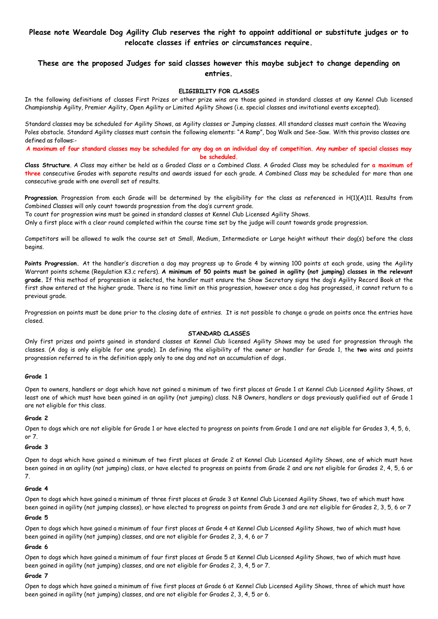# **Please note Weardale Dog Agility Club reserves the right to appoint additional or substitute judges or to relocate classes if entries or circumstances require.**

## **These are the proposed Judges for said classes however this maybe subject to change depending on entries.**

#### **ELIGIBILITY FOR CLASSES**

In the following definitions of classes First Prizes or other prize wins are those gained in standard classes at any Kennel Club licensed Championship Agility, Premier Agility, Open Agility or Limited Agility Shows (i.e. special classes and invitational events excepted).

Standard classes may be scheduled for Agility Shows, as Agility classes or Jumping classes. All standard classes must contain the Weaving Poles obstacle. Standard Agility classes must contain the following elements: "A Ramp", Dog Walk and See-Saw. With this proviso classes are defined as follows:-

**A maximum of four standard classes may be scheduled for any dog on an individual day of competition. Any number of special classes may be scheduled.**

**Class Structure**. A Class may either be held as a Graded Class or a Combined Class. A Graded Class may be scheduled for **a maximum of three** consecutive Grades with separate results and awards issued for each grade. A Combined Class may be scheduled for more than one consecutive grade with one overall set of results.

**Progression**. Progression from each Grade will be determined by the eligibility for the class as referenced in H(1)(A)11. Results from Combined Classes will only count towards progression from the dog's current grade.

To count for progression wins must be gained in standard classes at Kennel Club Licensed Agility Shows.

Only a first place with a clear round completed within the course time set by the judge will count towards grade progression.

Competitors will be allowed to walk the course set at Small, Medium, Intermediate or Large height without their dog(s) before the class begins.

**Points Progression.** At the handler's discretion a dog may progress up to Grade 4 by winning 100 points at each grade, using the Agility Warrant points scheme (Regulation K3.c refers). **A minimum of 50 points must be gained in agility (not jumping) classes in the relevant grade.** If this method of progression is selected, the handler must ensure the Show Secretary signs the dog's Agility Record Book at the first show entered at the higher grade. There is no time limit on this progression, however once a dog has progressed, it cannot return to a previous grade.

Progression on points must be done prior to the closing date of entries. It is not possible to change a grade on points once the entries have closed.

#### **STANDARD CLASSES**

Only first prizes and points gained in standard classes at Kennel Club licensed Agility Shows may be used for progression through the classes. (A dog is only eligible for one grade). In defining the eligibility of the owner or handler for Grade 1, the **two** wins and points progression referred to in the definition apply only to one dog and not an accumulation of dogs**.** 

#### **Grade 1**

Open to owners, handlers or dogs which have not gained a minimum of two first places at Grade 1 at Kennel Club Licensed Agility Shows, at least one of which must have been gained in an agility (not jumping) class. N.B Owners, handlers or dogs previously qualified out of Grade 1 are not eligible for this class.

#### **Grade 2**

Open to dogs which are not eligible for Grade 1 or have elected to progress on points from Grade 1 and are not eligible for Grades 3, 4, 5, 6, or 7.

#### **Grade 3**

Open to dogs which have gained a minimum of two first places at Grade 2 at Kennel Club Licensed Agility Shows, one of which must have been gained in an agility (not jumping) class, or have elected to progress on points from Grade 2 and are not eligible for Grades 2, 4, 5, 6 or 7.

#### **Grade 4**

Open to dogs which have gained a minimum of three first places at Grade 3 at Kennel Club Licensed Agility Shows, two of which must have been gained in agility (not jumping classes), or have elected to progress on points from Grade 3 and are not eligible for Grades 2, 3, 5, 6 or 7

#### **Grade 5**

Open to dogs which have gained a minimum of four first places at Grade 4 at Kennel Club Licensed Agility Shows, two of which must have been gained in agility (not jumping) classes, and are not eligible for Grades 2, 3, 4, 6 or 7

#### **Grade 6**

Open to dogs which have gained a minimum of four first places at Grade 5 at Kennel Club Licensed Agility Shows, two of which must have been gained in agility (not jumping) classes, and are not eligible for Grades 2, 3, 4, 5 or 7.

#### **Grade 7**

Open to dogs which have gained a minimum of five first places at Grade 6 at Kennel Club Licensed Agility Shows, three of which must have been gained in agility (not jumping) classes, and are not eligible for Grades 2, 3, 4, 5 or 6.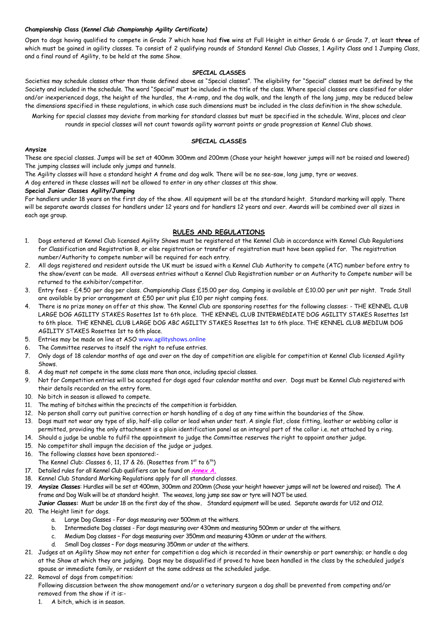#### **Championship Class (***Kennel Club Championship Agility Certificate)*

Open to dogs having qualified to compete in Grade 7 which have had **five** wins at Full Height in either Grade 6 or Grade 7, at least **three** of which must be gained in agility classes. To consist of 2 qualifying rounds of Standard Kennel Club Classes, 1 Agility Class and 1 Jumping Class, and a final round of Agility, to be held at the same Show.

#### **SPECIAL CLASSES**

Societies may schedule classes other than those defined above as "Special classes". The eligibility for "Special" classes must be defined by the Society and included in the schedule. The word "Special" must be included in the title of the class. Where special classes are classified for older and/or inexperienced dogs, the height of the hurdles, the A-ramp, and the dog walk, and the length of the long jump, may be reduced below the dimensions specified in these regulations, in which case such dimensions must be included in the class definition in the show schedule.

Marking for special classes may deviate from marking for standard classes but must be specified in the schedule. Wins, places and clear rounds in special classes will not count towards agility warrant points or grade progression at Kennel Club shows.

#### **SPECIAL CLASSES**

#### **Anysize**

These are special classes. Jumps will be set at 400mm 300mm and 200mm (Chose your height however jumps will not be raised and lowered) The jumping classes will include only jumps and tunnels.

The Agility classes will have a standard height A frame and dog walk. There will be no see-saw, long jump, tyre or weaves.

A dog entered in these classes will not be allowed to enter in any other classes at this show.

#### **Special Junior Classes Agility/Jumping**

For handlers under 18 years on the first day of the show. All equipment will be at the standard height. Standard marking will apply. There will be separate awards classes for handlers under 12 years and for handlers 12 years and over. Awards will be combined over all sizes in each age group.

#### **RULES AND REGULATIONS**

- 1. Dogs entered at Kennel Club licensed Agility Shows must be registered at the Kennel Club in accordance with Kennel Club Regulations for Classification and Registration B, or else registration or transfer of registration must have been applied for. The registration number/Authority to compete number will be required for each entry.
- 2. All dogs registered and resident outside the UK must be issued with a Kennel Club Authority to compete (ATC) number before entry to the show/event can be made. All overseas entries without a Kennel Club Registration number or an Authority to Compete number will be returned to the exhibitor/competitor.
- 3. Entry fees £4.50 per dog per class. Championship Class £15.00 per dog. Camping is available at £10.00 per unit per night. Trade Stall are available by prior arrangement at £50 per unit plus £10 per night camping fees.
- 4. There is no prize money on offer at this show. The Kennel Club are sponsoring rosettes for the following classes: THE KENNEL CLUB LARGE DOG AGILITY STAKES Rosettes 1st to 6th place. THE KENNEL CLUB INTERMEDIATE DOG AGILITY STAKES Rosettes 1st to 6th place. THE KENNEL CLUB LARGE DOG ABC AGILITY STAKES Rosettes 1st to 6th place. THE KENNEL CLUB MEDIUM DOG AGILITY STAKES Rosettes 1st to 6th place.
- 5. Entries may be made on line at ASO www.agilityshows.online
- 6. The Committee reserves to itself the right to refuse entries.
- 7. Only dogs of 18 calendar months of age and over on the day of competition are eligible for competition at Kennel Club licensed Agility Shows.
- 8. A dog must not compete in the same class more than once, including special classes.
- 9. Not for Competition entries will be accepted for dogs aged four calendar months and over. Dogs must be Kennel Club registered with their details recorded on the entry form.
- 10. No bitch in season is allowed to compete.
- 11. The mating of bitches within the precincts of the competition is forbidden.
- 12. No person shall carry out punitive correction or harsh handling of a dog at any time within the boundaries of the Show.
- 13. Dogs must not wear any type of slip, half-slip collar or lead when under test. A single flat, close fitting, leather or webbing collar is permitted, providing the only attachment is a plain identification panel as an integral part of the collar i.e. not attached by a ring.
- 14. Should a judge be unable to fulfil the appointment to judge the Committee reserves the right to appoint another judge.
- 15. No competitor shall impugn the decision of the judge or judges.
- 16. The following classes have been sponsored:-
- The Kennel Club: Classes 6, 11, 17 & 26. (Rosettes from  $1^{st}$  to  $6^{th}$ )
- 17. Detailed rules for all Kennel Club qualifiers can be found on *Annex A.*
- 18. Kennel Club Standard Marking Regulations apply for all standard classes.
- 19. **Anysize Classes**: Hurdles will be set at 400mm, 300mm and 200mm (Chose your height however jumps will not be lowered and raised). The A frame and Dog Walk will be at standard height. The weaves, long jump see saw or tyre will NOT be used.
- **Junior Classes:** Must be under 18 on the first day of the show**.** Standard equipment will be used. Separate awards for U12 and O12. 20. The Height limit for dogs.
	- a. Large Dog Classes For dogs measuring over 500mm at the withers.
	- b. Intermediate Dog classes For dogs measuring over 430mm and measuring 500mm or under at the withers.
	- c. Medium Dog classes For dogs measuring over 350mm and measuring 430mm or under at the withers.
	- d. Small Dog classes For dogs measuring 350mm or under at the withers.
- 21. Judges at an Agility Show may not enter for competition a dog which is recorded in their ownership or part ownership; or handle a dog at the Show at which they are judging. Dogs may be disqualified if proved to have been handled in the class by the scheduled judge's spouse or immediate family, or resident at the same address as the scheduled judge.

#### 22. Removal of dogs from competition:

Following discussion between the show management and/or a veterinary surgeon a dog shall be prevented from competing and/or removed from the show if it is:-

1. A bitch, which is in season.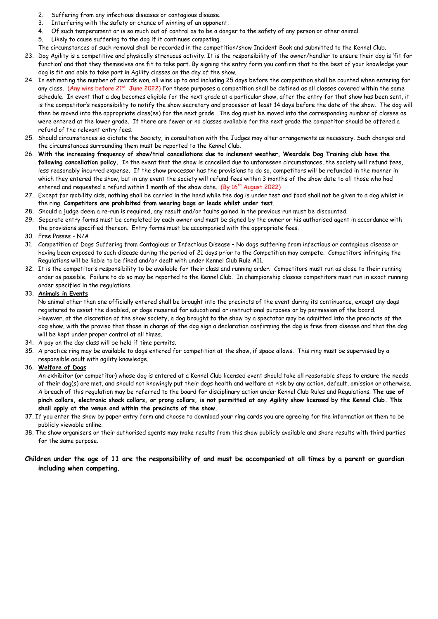- 2. Suffering from any infectious diseases or contagious disease.
- 3. Interfering with the safety or chance of winning of an opponent.
- 4. Of such temperament or is so much out of control as to be a danger to the safety of any person or other animal.
- 5. Likely to cause suffering to the dog if it continues competing.
- The circumstances of such removal shall be recorded in the competition/show Incident Book and submitted to the Kennel Club.
- 23. Dog Agility is a competitive and physically strenuous activity. It is the responsibility of the owner/handler to ensure their dog is 'fit for function' and that they themselves are fit to take part. By signing the entry form you confirm that to the best of your knowledge your dog is fit and able to take part in Agility classes on the day of the show.
- 24. In estimating the number of awards won, all wins up to and including 25 days before the competition shall be counted when entering for any class. (Any wins before 21<sup>st</sup> June 2022) For these purposes a competition shall be defined as all classes covered within the same schedule. In event that a dog becomes eligible for the next grade at a particular show, after the entry for that show has been sent, it is the competitor's responsibility to notify the show secretary and processor at least 14 days before the date of the show. The dog will then be moved into the appropriate class(es) for the next grade. The dog must be moved into the corresponding number of classes as were entered at the lower grade. If there are fewer or no classes available for the next grade the competitor should be offered a refund of the relevant entry fees.
- 25. Should circumstances so dictate the Society, in consultation with the Judges may alter arrangements as necessary. Such changes and the circumstances surrounding them must be reported to the Kennel Club.
- 26. **With the increasing frequency of show/trial cancellations due to inclement weather, Weardale Dog Training club have the following cancellation policy.** In the event that the show is cancelled due to unforeseen circumstances, the society will refund fees, less reasonably incurred expense. If the show processor has the provisions to do so, competitors will be refunded in the manner in which they entered the show, but in any event the society will refund fees within 3 months of the show date to all those who had entered and requested a refund within 1 month of the show date. (By 16<sup>th</sup> August 2022)
- 27. Except for mobility aids, nothing shall be carried in the hand while the dog is under test and food shall not be given to a dog whilst in the ring. **Competitors are prohibited from wearing bags or leads whilst under test.**
- 28. Should a judge deem a re-run is required, any result and/or faults gained in the previous run must be discounted.
- 29. Separate entry forms must be completed by each owner and must be signed by the owner or his authorised agent in accordance with the provisions specified thereon. Entry forms must be accompanied with the appropriate fees.
- 30. Free Passes N/A
- 31. Competition of Dogs Suffering from Contagious or Infectious Disease No dogs suffering from infectious or contagious disease or having been exposed to such disease during the period of 21 days prior to the Competition may compete. Competitors infringing the Regulations will be liable to be fined and/or dealt with under Kennel Club Rule A11.
- 32. It is the competitor's responsibility to be available for their class and running order. Competitors must run as close to their running order as possible. Failure to do so may be reported to the Kennel Club. In championship classes competitors must run in exact running order specified in the regulations.

#### 33. **Animals in Events**

No animal other than one officially entered shall be brought into the precincts of the event during its continuance, except any dogs registered to assist the disabled, or dogs required for educational or instructional purposes or by permission of the board. However, at the discretion of the show society, a dog brought to the show by a spectator may be admitted into the precincts of the dog show, with the proviso that those in charge of the dog sign a declaration confirming the dog is free from disease and that the dog will be kept under proper control at all times.

- 34. A pay on the day class will be held if time permits.
- 35. A practice ring may be available to dogs entered for competition at the show, if space allows. This ring must be supervised by a responsible adult with agility knowledge.

#### 36. **Welfare of Dogs**

An exhibitor (or competitor) whose dog is entered at a Kennel Club licensed event should take all reasonable steps to ensure the needs of their dog(s) are met, and should not knowingly put their dogs health and welfare at risk by any action, default, omission or otherwise. A breach of this regulation may be referred to the board for disciplinary action under Kennel Club Rules and Regulations. **The use of pinch collars, electronic shock collars, or prong collars, is not permitted at any Agility show licensed by the Kennel Club. This shall apply at the venue and within the precincts of the show.**

- 37. If you enter the show by paper entry form and choose to download your ring cards you are agreeing for the information on them to be publicly viewable online.
- 38. The show organisers or their authorised agents may make results from this show publicly available and share results with third parties for the same purpose.

### **Children under the age of 11 are the responsibility of and must be accompanied at all times by a parent or guardian including when competing.**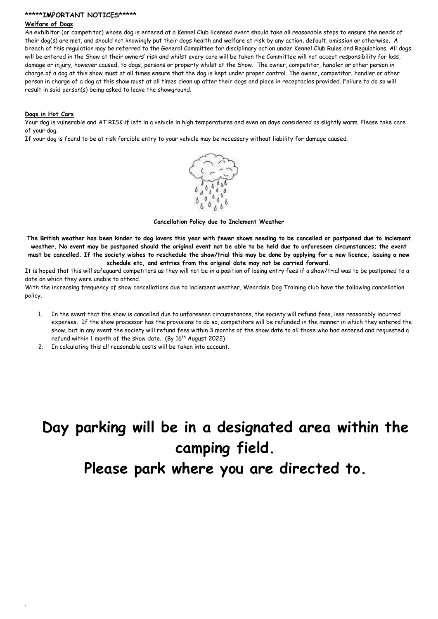#### **\*\*\*\*\*IMPORTANT NOTICES\*\*\*\*\***

#### **Welfare of Dogs**

An exhibitor (or competitor) whose dog is entered at a Kennel Club licensed event should take all reasonable steps to ensure the needs of their dog(s) are met, and should not knowingly put their dogs health and welfare at risk by any action, default, omission or otherwise. A breach of this regulation may be referred to the General Committee for disciplinary action under Kennel Club Rules and Regulations. All dogs will be entered in the Show at their owners' risk and whilst every care will be taken the Committee will not accept responsibility for loss, damage or injury, however caused, to dogs, persons or property whilst at the Show. The owner, competitor, handler or other person in charge of a dog at this show must at all times ensure that the dog is kept under proper control. The owner, competitor, handler or other person in charge of a dog at this show must at all times clean up after their dogs and place in receptacles provided. Failure to do so will result in said person(s) being asked to leave the showground.

#### **Dogs in Hot Cars**

.

Your dog is vulnerable and AT RISK if left in a vehicle in high temperatures and even on days considered as slightly warm. Please take care of your dog.

If your dog is found to be at risk forcible entry to your vehicle may be necessary without liability for damage caused.



**Cancellation Policy due to Inclement Weather**

**The British weather has been kinder to dog lovers this year with fewer shows needing to be cancelled or postponed due to inclement weather. No event may be postponed should the original event not be able to be held due to unforeseen circumstances; the event must be cancelled. If the society wishes to reschedule the show/trial this may be done by applying for a new licence, issuing a new schedule etc, and entries from the original date may not be carried forward.** 

It is hoped that this will safeguard competitors as they will not be in a position of losing entry fees if a show/trial was to be postponed to a date on which they were unable to attend.

With the increasing frequency of show cancellations due to inclement weather, Weardale Dog Training club have the following cancellation policy.

- 1. In the event that the show is cancelled due to unforeseen circumstances, the society will refund fees, less reasonably incurred expenses. If the show processor has the provisions to do so, competitors will be refunded in the manner in which they entered the show, but in any event the society will refund fees within 3 months of the show date to all those who had entered and requested a refund within 1 month of the show date. (By  $16<sup>th</sup>$  August 2022)
- 2. In calculating this all reasonable costs will be taken into account.

# **Day parking will be in a designated area within the camping field. Please park where you are directed to.**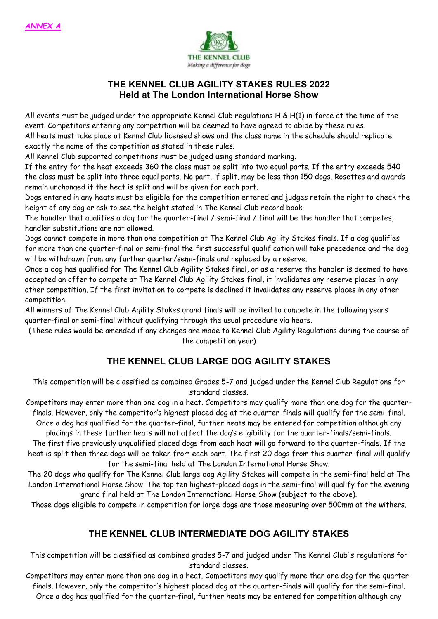

# **THE KENNEL CLUB AGILITY STAKES RULES 2022 Held at The London International Horse Show**

All events must be judged under the appropriate Kennel Club regulations H & H(1) in force at the time of the event. Competitors entering any competition will be deemed to have agreed to abide by these rules. All heats must take place at Kennel Club licensed shows and the class name in the schedule should replicate exactly the name of the competition as stated in these rules.

All Kennel Club supported competitions must be judged using standard marking.

If the entry for the heat exceeds 360 the class must be split into two equal parts. If the entry exceeds 540 the class must be split into three equal parts. No part, if split, may be less than 150 dogs. Rosettes and awards remain unchanged if the heat is split and will be given for each part.

Dogs entered in any heats must be eligible for the competition entered and judges retain the right to check the height of any dog or ask to see the height stated in The Kennel Club record book.

The handler that qualifies a dog for the quarter-final / semi-final / final will be the handler that competes, handler substitutions are not allowed.

Dogs cannot compete in more than one competition at The Kennel Club Agility Stakes finals. If a dog qualifies for more than one quarter-final or semi-final the first successful qualification will take precedence and the dog will be withdrawn from any further quarter/semi-finals and replaced by a reserve.

Once a dog has qualified for The Kennel Club Agility Stakes final, or as a reserve the handler is deemed to have accepted an offer to compete at The Kennel Club Agility Stakes final, it invalidates any reserve places in any other competition. If the first invitation to compete is declined it invalidates any reserve places in any other competition.

All winners of The Kennel Club Agility Stakes grand finals will be invited to compete in the following years quarter-final or semi-final without qualifying through the usual procedure via heats.

(These rules would be amended if any changes are made to Kennel Club Agility Regulations during the course of the competition year)

# **THE KENNEL CLUB LARGE DOG AGILITY STAKES**

This competition will be classified as combined Grades 5-7 and judged under the Kennel Club Regulations for standard classes.

Competitors may enter more than one dog in a heat. Competitors may qualify more than one dog for the quarterfinals. However, only the competitor's highest placed dog at the quarter-finals will qualify for the semi-final. Once a dog has qualified for the quarter-final, further heats may be entered for competition although any

placings in these further heats will not affect the dog's eligibility for the quarter-finals/semi-finals. The first five previously unqualified placed dogs from each heat will go forward to the quarter-finals. If the heat is split then three dogs will be taken from each part. The first 20 dogs from this quarter-final will qualify for the semi-final held at The London International Horse Show.

The 20 dogs who qualify for The Kennel Club large dog Agility Stakes will compete in the semi-final held at The London International Horse Show. The top ten highest-placed dogs in the semi-final will qualify for the evening grand final held at The London International Horse Show (subject to the above).

Those dogs eligible to compete in competition for large dogs are those measuring over 500mm at the withers.

# **THE KENNEL CLUB INTERMEDIATE DOG AGILITY STAKES**

This competition will be classified as combined grades 5-7 and judged under The Kennel Club's regulations for standard classes.

Competitors may enter more than one dog in a heat. Competitors may qualify more than one dog for the quarterfinals. However, only the competitor's highest placed dog at the quarter-finals will qualify for the semi-final. Once a dog has qualified for the quarter-final, further heats may be entered for competition although any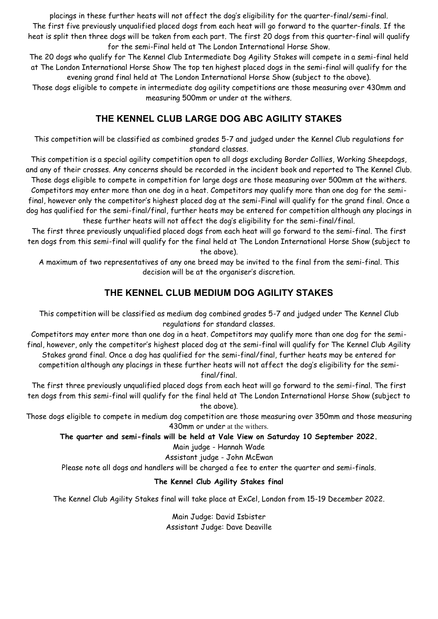placings in these further heats will not affect the dog's eligibility for the quarter-final/semi-final. The first five previously unqualified placed dogs from each heat will go forward to the quarter-finals. If the heat is split then three dogs will be taken from each part. The first 20 dogs from this quarter-final will qualify for the semi-Final held at The London International Horse Show.

The 20 dogs who qualify for The Kennel Club Intermediate Dog Agility Stakes will compete in a semi-final held at The London International Horse Show The top ten highest placed dogs in the semi-final will qualify for the evening grand final held at The London International Horse Show (subject to the above).

Those dogs eligible to compete in intermediate dog agility competitions are those measuring over 430mm and measuring 500mm or under at the withers.

# **THE KENNEL CLUB LARGE DOG ABC AGILITY STAKES**

This competition will be classified as combined grades 5-7 and judged under the Kennel Club regulations for standard classes.

This competition is a special agility competition open to all dogs excluding Border Collies, Working Sheepdogs, and any of their crosses. Any concerns should be recorded in the incident book and reported to The Kennel Club. Those dogs eligible to compete in competition for large dogs are those measuring over 500mm at the withers. Competitors may enter more than one dog in a heat. Competitors may qualify more than one dog for the semifinal, however only the competitor's highest placed dog at the semi-Final will qualify for the grand final. Once a dog has qualified for the semi-final/final, further heats may be entered for competition although any placings in these further heats will not affect the dog's eligibility for the semi-final/final.

The first three previously unqualified placed dogs from each heat will go forward to the semi-final. The first ten dogs from this semi-final will qualify for the final held at The London International Horse Show (subject to the above).

A maximum of two representatives of any one breed may be invited to the final from the semi-final. This decision will be at the organiser's discretion.

# **THE KENNEL CLUB MEDIUM DOG AGILITY STAKES**

This competition will be classified as medium dog combined grades 5-7 and judged under The Kennel Club regulations for standard classes.

Competitors may enter more than one dog in a heat. Competitors may qualify more than one dog for the semifinal, however, only the competitor's highest placed dog at the semi-final will qualify for The Kennel Club Agility Stakes grand final. Once a dog has qualified for the semi-final/final, further heats may be entered for competition although any placings in these further heats will not affect the dog's eligibility for the semi-

final/final.

The first three previously unqualified placed dogs from each heat will go forward to the semi-final. The first ten dogs from this semi-final will qualify for the final held at The London International Horse Show (subject to the above).

Those dogs eligible to compete in medium dog competition are those measuring over 350mm and those measuring 430mm or under at the withers.

**The quarter and semi-finals will be held at Vale View on Saturday 10 September 2022.** 

Main judge - Hannah Wade

Assistant judge - John McEwan

Please note all dogs and handlers will be charged a fee to enter the quarter and semi-finals.

# **The Kennel Club Agility Stakes final**

The Kennel Club Agility Stakes final will take place at ExCel, London from 15-19 December 2022.

Main Judge: David Isbister Assistant Judge: Dave Deaville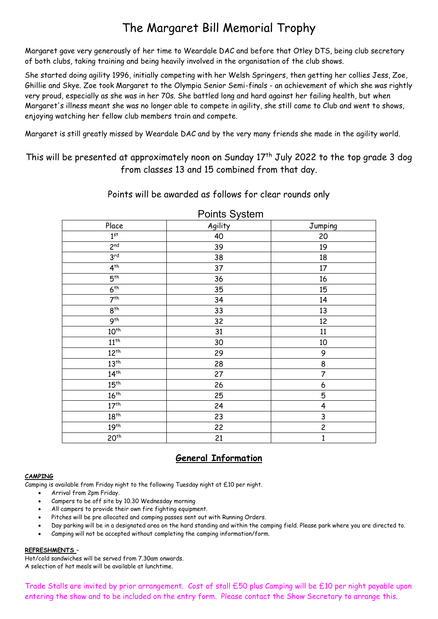# The Margaret Bill Memorial Trophy

Margaret gave very generously of her time to Weardale DAC and before that Otley DTS, being club secretary of both clubs, taking training and being heavily involved in the organisation of the club shows.

She started doing agility 1996, initially competing with her Welsh Springers, then getting her collies Jess, Zoe, Ghillie and Skye. Zoe took Margaret to the Olympia Senior Semi-finals - an achievement of which she was rightly very proud, especially as she was in her 70s. She battled long and hard against her failing health, but when Margaret's illness meant she was no longer able to compete in agility, she still came to Club and went to shows, enjoying watching her fellow club members train and compete.

Margaret is still greatly missed by Weardale DAC and by the very many friends she made in the agility world.

This will be presented at approximately noon on Sunday  $17<sup>th</sup>$  July 2022 to the top grade 3 dog from classes 13 and 15 combined from that day.

Points will be awarded as follows for clear rounds only

| Place            | Agility | <b>Jumping</b>          |
|------------------|---------|-------------------------|
| $1^{st}$         | 40      | 20                      |
| 2 <sup>nd</sup>  | 39      | 19                      |
| 3 <sup>rd</sup>  | 38      | 18                      |
| $4^{th}$         | 37      | $17\,$                  |
| 5 <sup>th</sup>  | 36      | 16                      |
| 6 <sup>th</sup>  | 35      | 15                      |
| 7 <sup>th</sup>  | 34      | 14                      |
| $8^{th}$         | 33      | 13                      |
| 9 <sup>th</sup>  | 32      | 12                      |
| $10^{th}$        | 31      | 11                      |
| $11^{th}$        | 30      | 10                      |
| $12^{th}$        | 29      | 9                       |
| 13 <sup>th</sup> | 28      | 8                       |
| $14^{th}$        | 27      | 7                       |
| 15 <sup>th</sup> | 26      | 6                       |
| $16^{th}$        | 25      | 5                       |
| 17 <sup>th</sup> | 24      | 4                       |
| $18^{th}$        | 23      | 3                       |
| 19 <sup>th</sup> | 22      | $\overline{\mathsf{c}}$ |
| 20 <sup>th</sup> | 21      | $\mathbf{1}$            |

Points System

# **General Information**

## **CAMPING**

Camping is available from Friday night to the following Tuesday night at £10 per night.

- Arrival from 2pm Friday.
- Campers to be off site by 10.30 Wednesday morning
- All campers to provide their own fire fighting equipment.
- Pitches will be pre allocated and camping passes sent out with Running Orders.
- Day parking will be in a designated area on the hard standing and within the camping field. Please park where you are directed to.
- Camping will not be accepted without completing the camping information/form.

### **REFRESHMENTS** –

Hot/cold sandwiches will be served from 7.30am onwards. A selection of hot meals will be available at lunchtime.

Trade Stalls are invited by prior arrangement. Cost of stall £50 plus Camping will be £10 per night payable upon entering the show and to be included on the entry form. Please contact the Show Secretary to arrange this.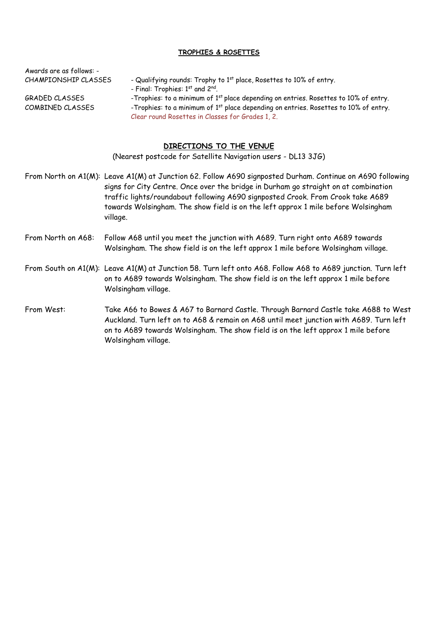## **TROPHIES & ROSETTES**

Awards are as follows: -

- $CHAMPIONSHIP CLASSES$  Qualifying rounds: Trophy to  $1<sup>st</sup>$  place, Rosettes to 10% of entry.
	- Final: Trophies: 1<sup>st</sup> and 2<sup>nd</sup>.

- GRADED CLASSES -Trophies: to a minimum of 1<sup>st</sup> place depending on entries. Rosettes to 10% of entry.
- COMBINED CLASSES  $\qquad \qquad \text{--}$  -Trophies: to a minimum of  $1^\text{st}$  place depending on entries. Rosettes to 10% of entry.
	- Clear round Rosettes in Classes for Grades 1, 2.

## **DIRECTIONS TO THE VENUE**

(Nearest postcode for Satellite Navigation users - DL13 3JG)

From North on A1(M): Leave A1(M) at Junction 62. Follow A690 signposted Durham. Continue on A690 following signs for City Centre. Once over the bridge in Durham go straight on at combination traffic lights/roundabout following A690 signposted Crook. From Crook take A689 towards Wolsingham. The show field is on the left approx 1 mile before Wolsingham village.

- From North on A68: Follow A68 until you meet the junction with A689. Turn right onto A689 towards Wolsingham. The show field is on the left approx 1 mile before Wolsingham village.
- From South on A1(M): Leave A1(M) at Junction 58. Turn left onto A68. Follow A68 to A689 junction. Turn left on to A689 towards Wolsingham. The show field is on the left approx 1 mile before Wolsingham village.
- From West: Take A66 to Bowes & A67 to Barnard Castle. Through Barnard Castle take A688 to West Auckland. Turn left on to A68 & remain on A68 until meet junction with A689. Turn left on to A689 towards Wolsingham. The show field is on the left approx 1 mile before Wolsingham village.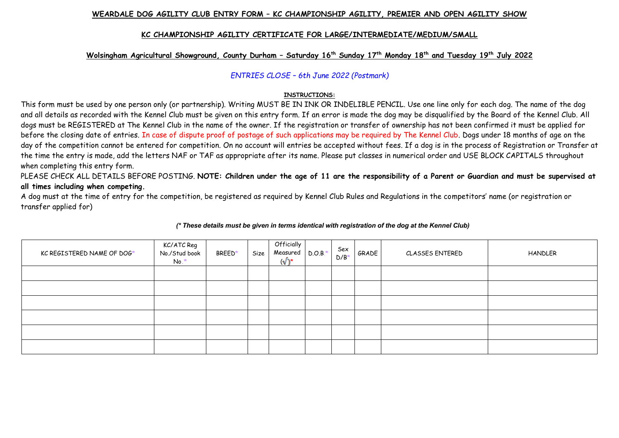### **WEARDALE DOG AGILITY CLUB ENTRY FORM – KC CHAMPIONSHIP AGILITY, PREMIER AND OPEN AGILITY SHOW**

### **KC CHAMPIONSHIP AGILITY CERTIFICATE FOR LARGE/INTERMEDIATE/MEDIUM/SMALL**

### **Wolsingham Agricultural Showground, County Durham – Saturday 16th Sunday 17th Monday 18th and Tuesday 19th July 2022**

*ENTRIES CLOSE – 6th June 2022 (Postmark)*

### **INSTRUCTIONS:**

This form must be used by one person only (or partnership). Writing MUST BE IN INK OR INDELIBLE PENCIL. Use one line only for each dog. The name of the dog and all details as recorded with the Kennel Club must be given on this entry form. If an error is made the dog may be disqualified by the Board of the Kennel Club. All dogs must be REGISTERED at The Kennel Club in the name of the owner. If the registration or transfer of ownership has not been confirmed it must be applied for before the closing date of entries. In case of dispute proof of postage of such applications may be required by The Kennel Club. Dogs under 18 months of age on the day of the competition cannot be entered for competition. On no account will entries be accepted without fees. If a dog is in the process of Registration or Transfer at the time the entry is made, add the letters NAF or TAF as appropriate after its name. Please put classes in numerical order and USE BLOCK CAPITALS throughout when completing this entry form.

PLEASE CHECK ALL DETAILS BEFORE POSTING. **NOTE: Children under the age of 11 are the responsibility of a Parent or Guardian and must be supervised at all times including when competing.** 

A dog must at the time of entry for the competition, be registered as required by Kennel Club Rules and Regulations in the competitors' name (or registration or transfer applied for)

| KC REGISTERED NAME OF DOG* | KC/ATC Reg<br>No./Stud book<br>$No.*$ | BREED* | Size | Officially<br>Measured D.O.B.*<br>$(\sqrt{2})^*$ | Sex<br>$D/B^*$ | GRADE | CLASSES ENTERED | <b>HANDLER</b> |
|----------------------------|---------------------------------------|--------|------|--------------------------------------------------|----------------|-------|-----------------|----------------|
|                            |                                       |        |      |                                                  |                |       |                 |                |
|                            |                                       |        |      |                                                  |                |       |                 |                |
|                            |                                       |        |      |                                                  |                |       |                 |                |
|                            |                                       |        |      |                                                  |                |       |                 |                |
|                            |                                       |        |      |                                                  |                |       |                 |                |
|                            |                                       |        |      |                                                  |                |       |                 |                |

### *(\* These details must be given in terms identical with registration of the dog at the Kennel Club)*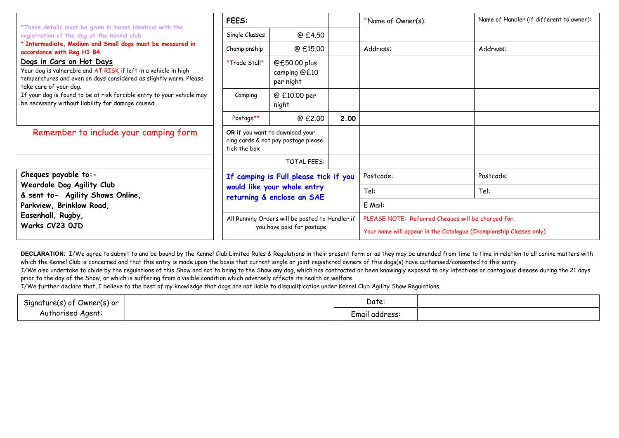|                                                                                                                                                                                                                                                                                                                          | <b>FEES:</b>               |                                                                              |      | Name of Owner(s):                                                                                                        | Name of Handler (if different to owner): |  |  |
|--------------------------------------------------------------------------------------------------------------------------------------------------------------------------------------------------------------------------------------------------------------------------------------------------------------------------|----------------------------|------------------------------------------------------------------------------|------|--------------------------------------------------------------------------------------------------------------------------|------------------------------------------|--|--|
| *These details must be given in terms identical with the<br>registration of the dog at the kennel club                                                                                                                                                                                                                   | Single Classes             | @ £4.50                                                                      |      |                                                                                                                          |                                          |  |  |
| * Intermediate, Medium and Small dogs must be measured in<br>accordance with Reg H1 B4                                                                                                                                                                                                                                   | Championship               | @ £15.00                                                                     |      | Address:                                                                                                                 | Address:                                 |  |  |
| Dogs in Cars on Hot Days<br>Your dog is vulnerable and AT RISK if left in a vehicle in high<br>temperatures and even on days considered as slightly warm. Please<br>take care of your dog.<br>If your dog is found to be at risk forcible entry to your vehicle may<br>be necessary without liability for damage caused. | *Trade Stall*              | @£50.00 plus<br>camping @£10<br>per night                                    |      |                                                                                                                          |                                          |  |  |
|                                                                                                                                                                                                                                                                                                                          | Camping                    | @ £10.00 per<br>night                                                        |      |                                                                                                                          |                                          |  |  |
|                                                                                                                                                                                                                                                                                                                          | Postage**                  | @ £2.00                                                                      | 2.00 |                                                                                                                          |                                          |  |  |
| Remember to include your camping form                                                                                                                                                                                                                                                                                    | tick the box               | OR if you want to download your<br>ring cards & not pay postage please       |      |                                                                                                                          |                                          |  |  |
|                                                                                                                                                                                                                                                                                                                          |                            | <b>TOTAL FEES:</b>                                                           |      |                                                                                                                          |                                          |  |  |
| Cheques payable to:-                                                                                                                                                                                                                                                                                                     |                            | If camping is Full please tick if you                                        |      | Postcode:                                                                                                                | Postcode:                                |  |  |
| Weardale Dog Agility Club<br>& sent to- Agility Shows Online,                                                                                                                                                                                                                                                            |                            | would like your whole entry                                                  |      | Tel:                                                                                                                     | Tel:                                     |  |  |
| Parkview, Brinklow Road,                                                                                                                                                                                                                                                                                                 | returning & enclose an SAE |                                                                              |      | E Mail:                                                                                                                  |                                          |  |  |
| Easenhall, Rugby,<br>Warks CV23 OJD                                                                                                                                                                                                                                                                                      |                            | All Running Orders will be posted to Handler if<br>you have paid for postage |      | PLEASE NOTE: Referred Cheques will be charged for.<br>Your name will appear in the Catalogue (Championship Classes only) |                                          |  |  |

DECLARATION: I/We agree to submit to and be bound by the Kennel Club Limited Rules & Regulations in their present form or as they may be amended from time to time in relation to all canine matters with which the Kennel Club is concerned and that this entry is made upon the basis that current single or joint registered owners of this dogs(s) have authorised/consented to this entry.

I/We also undertake to abide by the regulations of this Show and not to bring to the Show any dog, which has contracted or been knowingly exposed to any infections or contagious disease during the 21 days prior to the day of the Show, or which is suffering from a visible condition which adversely affects its health or welfare.

I/We further declare that, I believe to the best of my knowledge that dogs are not liable to disqualification under Kennel Club Agility Show Regulations.

| $-$<br>Signature(s) of<br>Owner(s) or | Date:          |  |
|---------------------------------------|----------------|--|
| Aaent<br>– Authorise                  | Email address: |  |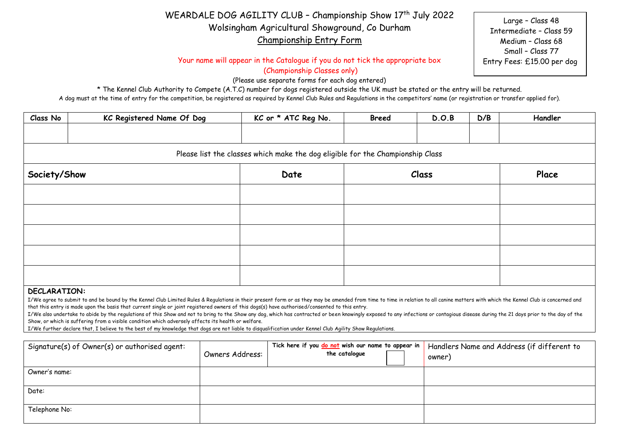# WEARDALE DOG AGILITY CLUB - Championship Show 17<sup>th</sup> July 2022 Wolsingham Agricultural Showground, Co Durham Championship Entry Form

Your name will appear in the Catalogue if you do not tick the appropriate box

(Championship Classes only)

(Please use separate forms for each dog entered)

\* The Kennel Club Authority to Compete (A.T.C) number for dogs registered outside the UK must be stated or the entry will be returned.

A dog must at the time of entry for the competition, be registered as required by Kennel Club Rules and Regulations in the competitors' name (or registration or transfer applied for).

| Class No            | KC Registered Name Of Dog                                                      | KC or * ATC Reg No. | <b>Breed</b> | D.O.B | D/B | Handler |  |  |  |  |
|---------------------|--------------------------------------------------------------------------------|---------------------|--------------|-------|-----|---------|--|--|--|--|
|                     |                                                                                |                     |              |       |     |         |  |  |  |  |
|                     | Please list the classes which make the dog eligible for the Championship Class |                     |              |       |     |         |  |  |  |  |
| Society/Show        |                                                                                | Date                |              | Class |     | Place   |  |  |  |  |
|                     |                                                                                |                     |              |       |     |         |  |  |  |  |
|                     |                                                                                |                     |              |       |     |         |  |  |  |  |
|                     |                                                                                |                     |              |       |     |         |  |  |  |  |
|                     |                                                                                |                     |              |       |     |         |  |  |  |  |
|                     |                                                                                |                     |              |       |     |         |  |  |  |  |
| <b>NECLADATTONI</b> |                                                                                |                     |              |       |     |         |  |  |  |  |

### **DECLARATION:**

I/We agree to submit to and be bound by the Kennel Club Limited Rules & Regulations in their present form or as they may be amended from time to time in relation to all canine matters with which the Kennel Club is concerne that this entry is made upon the basis that current single or joint registered owners of this dogs(s) have authorised/consented to this entry.

I/We also undertake to abide by the reaulations of this Show and not to bring to the Show any dog, which has contracted or been knowingly exposed to any infections or contagious disease during the 21 days prior to the day Show, or which is suffering from a visible condition which adversely affects its health or welfare.

I/We further declare that, I believe to the best of my knowledge that dogs are not liable to disqualification under Kennel Club Agility Show Regulations.

| Signature(s) of Owner(s) or authorised agent: | Owners Address: | Tick here if you do not wish our name to appear in<br>the catalogue | Handlers Name and Address (if different to<br>owner) |
|-----------------------------------------------|-----------------|---------------------------------------------------------------------|------------------------------------------------------|
| Owner's name:                                 |                 |                                                                     |                                                      |
| Date:                                         |                 |                                                                     |                                                      |
| Telephone No:                                 |                 |                                                                     |                                                      |

Large – Class 48 Intermediate – Class 59 Medium – Class 68 Small – Class 77 Entry Fees: £15.00 per dog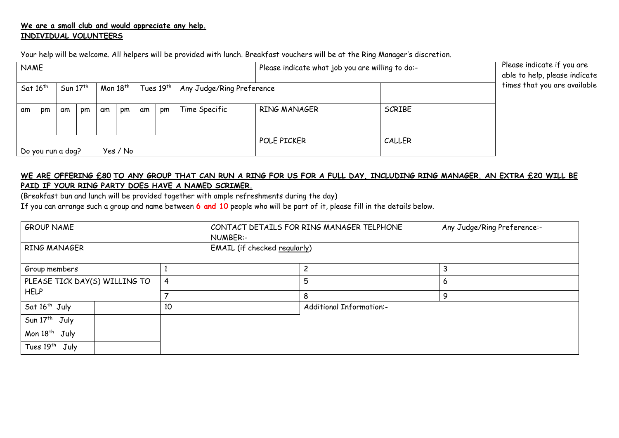# **We are a small club and would appreciate any help. INDIVIDUAL VOLUNTEERS**

Your help will be welcome. All helpers will be provided with lunch. Breakfast vouchers will be at the Ring Manager's discretion.

| <b>NAME</b> |                               |    |            |    |               |    |                       |                           | Please indicate what job you are willing to do:- |               | Please indicate if you are<br>able to help, please indicate |  |
|-------------|-------------------------------|----|------------|----|---------------|----|-----------------------|---------------------------|--------------------------------------------------|---------------|-------------------------------------------------------------|--|
|             | Sat $16^{th}$                 |    | Sun $17th$ |    | Mon $18^{th}$ |    | Tues 19th $\parallel$ | Any Judge/Ring Preference |                                                  |               | times that you are available                                |  |
| am          | pm                            | am | pm         | am | pm            | am | pm                    | Time Specific             | RING MANAGER                                     | <b>SCRIBE</b> |                                                             |  |
|             | No you run a dog?<br>Yes / No |    |            |    |               |    |                       |                           | POLE PICKER                                      | CALLER        |                                                             |  |

# **WE ARE OFFERING £80 TO ANY GROUP THAT CAN RUN A RING FOR US FOR A FULL DAY, INCLUDING RING MANAGER. AN EXTRA £20 WILL BE PAID IF YOUR RING PARTY DOES HAVE A NAMED SCRIMER.**

(Breakfast bun and lunch will be provided together with ample refreshments during the day)

If you can arrange such a group and name between **6 and 10** people who will be part of it, please fill in the details below.

| <b>GROUP NAME</b>             |  |                | NUMBER:-                     | CONTACT DETAILS FOR RING MANAGER TELPHONE | Any Judge/Ring Preference:- |  |
|-------------------------------|--|----------------|------------------------------|-------------------------------------------|-----------------------------|--|
| RING MANAGER                  |  |                | EMAIL (if checked regularly) |                                           |                             |  |
| Group members                 |  |                |                              | っ                                         | 3                           |  |
| PLEASE TICK DAY(S) WILLING TO |  | $\overline{4}$ |                              | 5                                         | 6                           |  |
| <b>HELP</b>                   |  |                |                              | 8                                         | 9                           |  |
| Sat 16 <sup>th</sup> July     |  |                |                              | <b>Additional Information:-</b>           |                             |  |
| Sun 17 <sup>th</sup> July     |  |                |                              |                                           |                             |  |
| Mon 18 <sup>th</sup> July     |  |                |                              |                                           |                             |  |
| Tues 19 <sup>th</sup> July    |  |                |                              |                                           |                             |  |